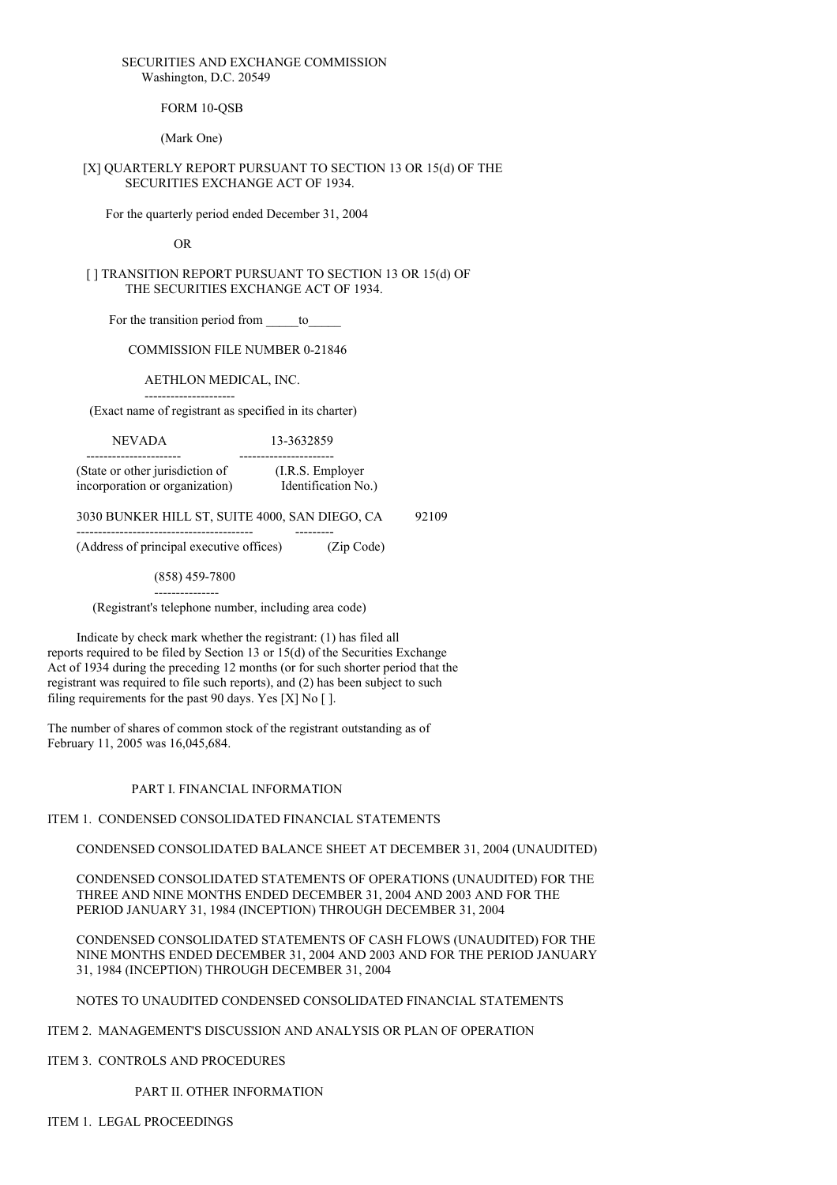### SECURITIES AND EXCHANGE COMMISSION Washington, D.C. 20549

FORM 10-OSB

(Mark One)

### [X] QUARTERLY REPORT PURSUANT TO SECTION 13 OR 15(d) OF THE SECURITIES EXCHANGE ACT OF 1934.

For the quarterly period ended December 31, 2004

OR

[ ] TRANSITION REPORT PURSUANT TO SECTION 13 OR 15(d) OF THE SECURITIES EXCHANGE ACT OF 1934.

For the transition period from to

COMMISSION FILE NUMBER 0-21846

AETHLON MEDICAL, INC.

--------------------- (Exact name of registrant as specified in its charter)

NEVADA 13-3632859

---------------------- ---------------------- (State or other jurisdiction of (I.R.S. Employer incorporation or organization) Identification No.)

3030 BUNKER HILL ST, SUITE 4000, SAN DIEGO, CA 92109

(Address of principal executive offices) (Zip Code)

----------------------------------------- ---------

(858) 459-7800 ---------------

(Registrant's telephone number, including area code)

Indicate by check mark whether the registrant: (1) has filed all reports required to be filed by Section 13 or 15(d) of the Securities Exchange Act of 1934 during the preceding 12 months (or for such shorter period that the registrant was required to file such reports), and (2) has been subject to such filing requirements for the past 90 days. Yes [X] No [ ].

The number of shares of common stock of the registrant outstanding as of February 11, 2005 was 16,045,684.

## PART I. FINANCIAL INFORMATION

ITEM 1. CONDENSED CONSOLIDATED FINANCIAL STATEMENTS

CONDENSED CONSOLIDATED BALANCE SHEET AT DECEMBER 31, 2004 (UNAUDITED)

CONDENSED CONSOLIDATED STATEMENTS OF OPERATIONS (UNAUDITED) FOR THE THREE AND NINE MONTHS ENDED DECEMBER 31, 2004 AND 2003 AND FOR THE PERIOD JANUARY 31, 1984 (INCEPTION) THROUGH DECEMBER 31, 2004

CONDENSED CONSOLIDATED STATEMENTS OF CASH FLOWS (UNAUDITED) FOR THE NINE MONTHS ENDED DECEMBER 31, 2004 AND 2003 AND FOR THE PERIOD JANUARY 31, 1984 (INCEPTION) THROUGH DECEMBER 31, 2004

NOTES TO UNAUDITED CONDENSED CONSOLIDATED FINANCIAL STATEMENTS

ITEM 2. MANAGEMENT'S DISCUSSION AND ANALYSIS OR PLAN OF OPERATION

ITEM 3. CONTROLS AND PROCEDURES

PART II. OTHER INFORMATION

ITEM 1. LEGAL PROCEEDINGS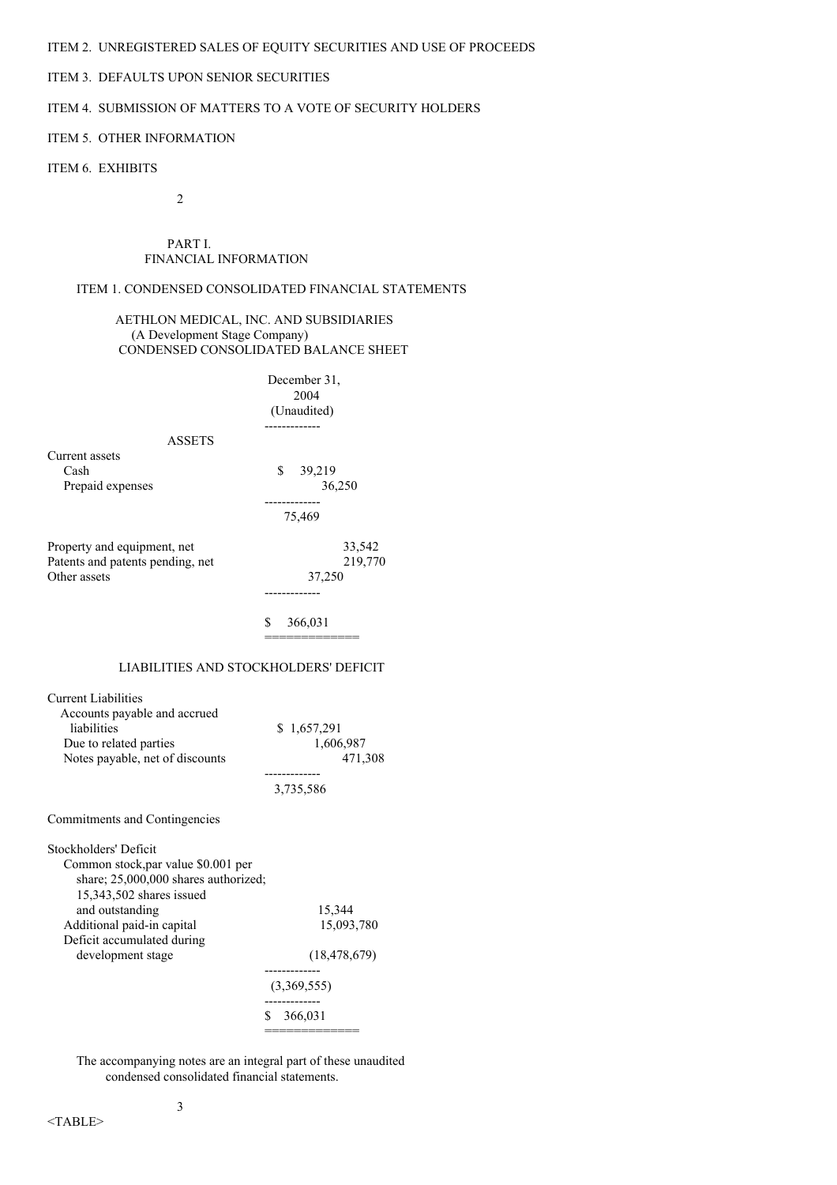# ITEM 2. UNREGISTERED SALES OF EQUITY SECURITIES AND USE OF PROCEEDS

# ITEM 3. DEFAULTS UPON SENIOR SECURITIES

# ITEM 4. SUBMISSION OF MATTERS TO A VOTE OF SECURITY HOLDERS

### ITEM 5. OTHER INFORMATION

ITEM 6. EXHIBITS

 $\overline{2}$ 

# PART I. FINANCIAL INFORMATION

# ITEM 1. CONDENSED CONSOLIDATED FINANCIAL STATEMENTS

## AETHLON MEDICAL, INC. AND SUBSIDIARIES (A Development Stage Company) CONDENSED CONSOLIDATED BALANCE SHEET

|                                                                                                                                        | December 31,<br>2004<br>(Unaudited)              |
|----------------------------------------------------------------------------------------------------------------------------------------|--------------------------------------------------|
| <b>ASSETS</b>                                                                                                                          |                                                  |
| Current assets<br>Cash<br>Prepaid expenses                                                                                             | \$39,219<br>36,250                               |
|                                                                                                                                        | 75,469                                           |
| Property and equipment, net<br>Patents and patents pending, net<br>Other assets                                                        | 33,542<br>219,770<br>37,250                      |
|                                                                                                                                        | \$<br>366,031                                    |
| LIABILITIES AND STOCKHOLDERS' DEFICIT                                                                                                  |                                                  |
| <b>Current Liabilities</b><br>Accounts payable and accrued<br>liabilities<br>Due to related parties<br>Notes payable, net of discounts | \$1,657,291<br>1,606,987<br>471,308<br>3,735,586 |
| Commitments and Contingencies                                                                                                          |                                                  |
| Stockholders' Deficit<br>Common stock, par value \$0.001 per<br>share; 25,000,000 shares authorized;<br>15,343,502 shares issued       |                                                  |
| and outstanding<br>Additional paid-in capital<br>Deficit accumulated during                                                            | 15,344<br>15,093,780                             |
| development stage                                                                                                                      | (18, 478, 679)                                   |
|                                                                                                                                        | (3,369,555)                                      |
|                                                                                                                                        | 366,031<br>S.                                    |
|                                                                                                                                        |                                                  |

The accompanying notes are an integral part of these unaudited condensed consolidated financial statements.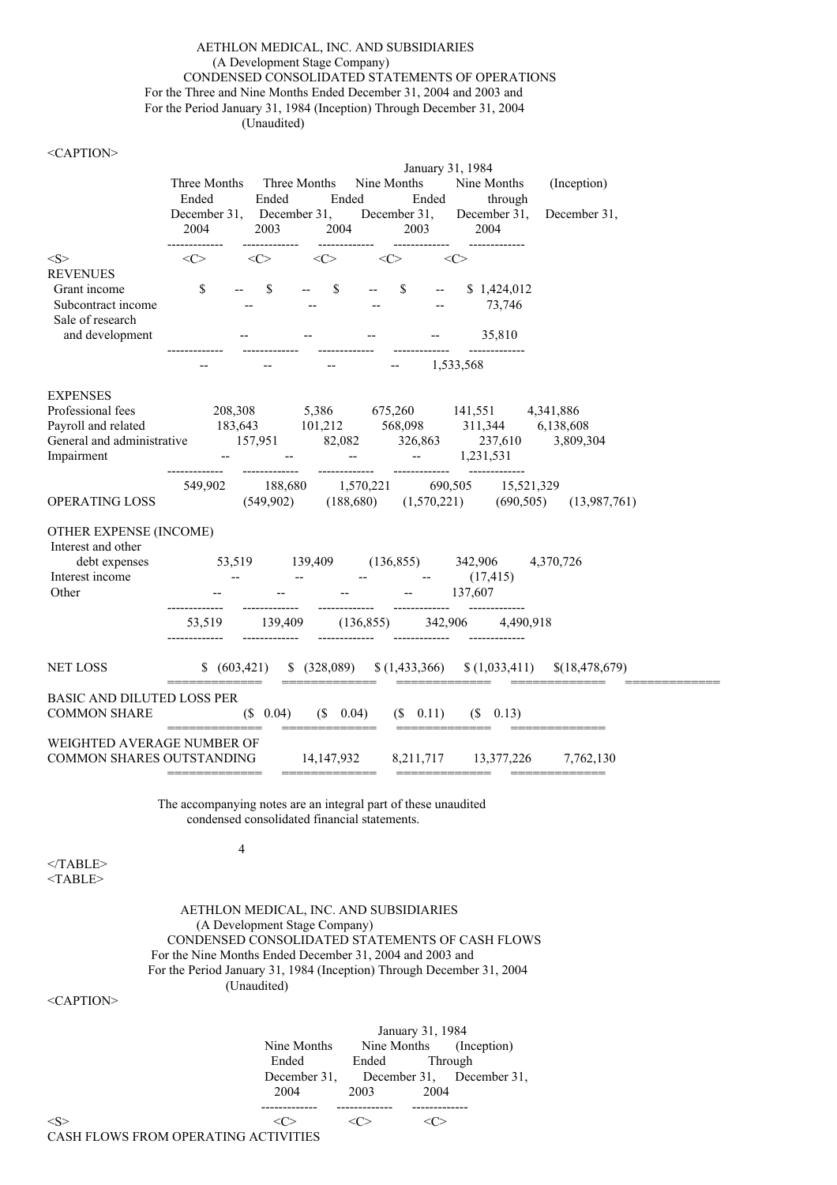# AETHLON MEDICAL, INC. AND SUBSIDIARIES (A Development Stage Company) CONDENSED CONSOLIDATED STATEMENTS OF OPERATIONS For the Three and Nine Months Ended December 31, 2004 and 2003 and For the Period January 31, 1984 (Inception) Through December 31, 2004

(Unaudited)

| <caption></caption>                                                                                                                                                                                                              | Three Months<br>Ended<br>December 31, December 31, December 31,<br>2004<br>---------- | Three Months<br>Ended<br>2003 | Ended<br>2004                                | January 31, 1984<br>Nine Months<br>Ended<br>2003        | Nine Months<br>through<br>December 31,<br>2004    | (Inception)<br>December 31.                                                                  |
|----------------------------------------------------------------------------------------------------------------------------------------------------------------------------------------------------------------------------------|---------------------------------------------------------------------------------------|-------------------------------|----------------------------------------------|---------------------------------------------------------|---------------------------------------------------|----------------------------------------------------------------------------------------------|
| $<\!\!S\!\!>$                                                                                                                                                                                                                    | <<>                                                                                   | <<>                           | $\langle C \rangle$ $\langle C \rangle$      |                                                         | $\langle$ C>                                      |                                                                                              |
| <b>REVENUES</b><br>Grant income                                                                                                                                                                                                  | $\mathbb{S}$                                                                          | $\mathbb{S}$                  | $\sim$ $\sim$                                | $\mathbb{S}$<br><b>Contract Contract</b>                | \$1,424,012                                       |                                                                                              |
| Subcontract income                                                                                                                                                                                                               |                                                                                       | $\sim$                        |                                              | <b>Contract Contract</b><br>$\mathcal{L}_{\mathcal{F}}$ | 73,746                                            |                                                                                              |
| Sale of research<br>and development                                                                                                                                                                                              |                                                                                       |                               |                                              |                                                         | 35,810                                            |                                                                                              |
|                                                                                                                                                                                                                                  |                                                                                       |                               |                                              | -------------                                           | -------------                                     |                                                                                              |
|                                                                                                                                                                                                                                  |                                                                                       |                               |                                              |                                                         | 1,533,568                                         |                                                                                              |
| <b>EXPENSES</b>                                                                                                                                                                                                                  |                                                                                       |                               |                                              |                                                         |                                                   |                                                                                              |
| Professional fees                                                                                                                                                                                                                | 208,308 5,386 675,260 141,551 4,341,886                                               |                               |                                              |                                                         |                                                   |                                                                                              |
| Payroll and related<br>The result of the contract is a contract to the contract is a contract of the contract of the contract of the contract of the contract of the contract of the contract of the contract of the contract of |                                                                                       |                               |                                              |                                                         |                                                   |                                                                                              |
|                                                                                                                                                                                                                                  |                                                                                       |                               |                                              |                                                         | -------------         -------------               |                                                                                              |
| <b>OPERATING LOSS</b>                                                                                                                                                                                                            |                                                                                       |                               |                                              |                                                         | 549,902 188,680 1,570,221 690,505 15,521,329      | $(549,902)$ $(188,680)$ $(1,570,221)$ $(690,505)$ $(13,987,761)$                             |
| OTHER EXPENSE (INCOME)<br>Interest and other<br>debt expenses 53,519 139,409 (136,855) 342,906<br>Interest income<br>Other                                                                                                       |                                                                                       |                               |                                              | $  (17,415)$<br>-------------                           | 137,607                                           | 4,370,726                                                                                    |
|                                                                                                                                                                                                                                  |                                                                                       |                               | -------------                                |                                                         | 53,519 139,409 (136,855) 342,906 4,490,918        |                                                                                              |
| <b>NET LOSS</b>                                                                                                                                                                                                                  | ===========                                                                           |                               |                                              |                                                         |                                                   | $$ (603,421) \quad $ (328,089) \quad $ (1,433,366) \quad $ (1,033,411) \quad $ (18,478,679)$ |
| <b>BASIC AND DILUTED LOSS PER</b><br><b>COMMON SHARE</b>                                                                                                                                                                         |                                                                                       | $(S \t 0.04)$                 |                                              | $(\$ 0.04)$ $(\$ 0.11)$                                 | $(S \t 0.13)$                                     |                                                                                              |
| WEIGHTED AVERAGE NUMBER OF<br>COMMON SHARES OUTSTANDING                                                                                                                                                                          |                                                                                       |                               |                                              |                                                         | 14, 147, 932 8, 211, 717 13, 377, 226 7, 762, 130 |                                                                                              |
|                                                                                                                                                                                                                                  | The accompanying notes are an integral part of these unaudited<br>4                   |                               | condensed consolidated financial statements. |                                                         |                                                   |                                                                                              |

 $<$ /TABLE>  $<$  TABLE>  $\,$ 

> AETHLON MEDICAL, INC. AND SUBSIDIARIES (A Development Stage Company) CONDENSED CONSOLIDATED STATEMENTS OF CASH FLOWS For the Nine Months Ended December 31, 2004 and 2003 and For the Period January 31, 1984 (Inception) Through December 31, 2004 (Unaudited)

<CAPTION>

|                                      |                                        |       | January 31, 1984 |  |
|--------------------------------------|----------------------------------------|-------|------------------|--|
|                                      | Nine Months (Inception)<br>Nine Months |       |                  |  |
|                                      | Ended                                  | Ended | Through          |  |
|                                      | December 31, December 31, December 31, |       |                  |  |
|                                      | 2004                                   | 2003  | 2004             |  |
|                                      |                                        |       |                  |  |
| $\langle$ S>                         |                                        |       |                  |  |
| CASH FLOWS FROM OPERATING ACTIVITIES |                                        |       |                  |  |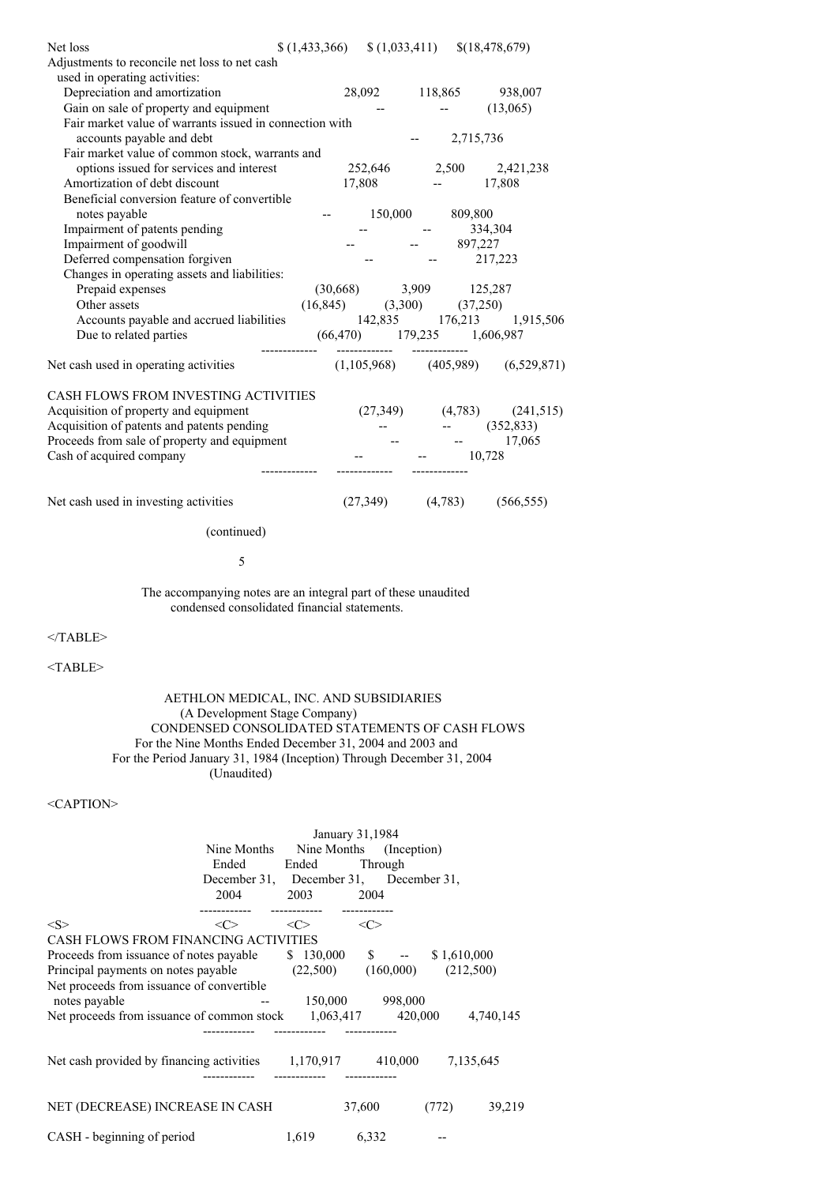| Net loss                                                | $(1,433,366)$ $(1,033,411)$ $(18,478,679)$ |               |                              |            |                                         |
|---------------------------------------------------------|--------------------------------------------|---------------|------------------------------|------------|-----------------------------------------|
| Adjustments to reconcile net loss to net cash           |                                            |               |                              |            |                                         |
| used in operating activities:                           |                                            |               |                              |            |                                         |
| Depreciation and amortization                           |                                            |               |                              |            | 28,092 118,865 938,007                  |
| Gain on sale of property and equipment                  |                                            |               |                              |            | (13,065)                                |
| Fair market value of warrants issued in connection with |                                            |               |                              |            |                                         |
| accounts payable and debt                               |                                            |               |                              | 2,715,736  |                                         |
| Fair market value of common stock, warrants and         |                                            |               |                              |            |                                         |
| options issued for services and interest                |                                            |               |                              |            | 252,646 2,500 2,421,238                 |
| Amortization of debt discount                           |                                            |               | 17,808 - 17,808              |            |                                         |
| Beneficial conversion feature of convertible            |                                            |               |                              |            |                                         |
| notes payable                                           |                                            |               | 150,000 809,800              |            |                                         |
| Impairment of patents pending                           |                                            |               |                              | $-334,304$ |                                         |
| Impairment of goodwill                                  |                                            |               | $-897,227$                   |            |                                         |
| Deferred compensation forgiven                          |                                            |               |                              |            | 217,223                                 |
| Changes in operating assets and liabilities:            |                                            |               |                              |            |                                         |
| Prepaid expenses                                        |                                            |               | $(30,668)$ $3,909$ $125,287$ |            |                                         |
| Other assets                                            | $(16,845)$ $(3,300)$ $(37,250)$            |               |                              |            |                                         |
| Accounts payable and accrued liabilities                |                                            |               |                              |            | 142,835 176,213 1,915,506               |
| Due to related parties                                  | $(66,470)$ 179,235 1,606,987               |               |                              |            |                                         |
| Net cash used in operating activities                   |                                            | ------------- | -------------                |            | $(1,105,968)$ $(405,989)$ $(6,529,871)$ |
| <b>CASH FLOWS FROM INVESTING ACTIVITIES</b>             |                                            |               |                              |            |                                         |
| Acquisition of property and equipment                   |                                            |               |                              |            | $(27,349)$ $(4,783)$ $(241,515)$        |
| Acquisition of patents and patents pending              |                                            |               |                              |            | $-$ (352,833)                           |
| Proceeds from sale of property and equipment            |                                            |               |                              |            | 17,065                                  |
| Cash of acquired company                                |                                            |               |                              | 10,728     |                                         |
|                                                         |                                            |               |                              |            |                                         |
| Net cash used in investing activities                   |                                            |               |                              |            | $(27,349)$ $(4,783)$ $(566,555)$        |
| (continued)                                             |                                            |               |                              |            |                                         |

5

The accompanying notes are an integral part of these unaudited condensed consolidated financial statements.

 $<$ /TABLE>

<TABLE>

AETHLON MEDICAL, INC. AND SUBSIDIARIES (A Development Stage Company) CONDENSED CONSOLIDATED STATEMENTS OF CASH FLOWS For the Nine Months Ended December 31, 2004 and 2003 and For the Period January 31, 1984 (Inception) Through December 31, 2004 (Unaudited)

<CAPTION>

|                                                                             | January 31,1984                     |                     |       |           |  |
|-----------------------------------------------------------------------------|-------------------------------------|---------------------|-------|-----------|--|
|                                                                             | Nine Months Nine Months (Inception) |                     |       |           |  |
|                                                                             |                                     | Ended Ended Through |       |           |  |
| December 31, December 31, December 31,                                      |                                     |                     |       |           |  |
| 2004                                                                        | 2003                                | 2004                |       |           |  |
|                                                                             |                                     |                     |       |           |  |
| < S ><br>$<\!\!C\!\!>$                                                      | $\langle C \rangle$                 | $\langle C \rangle$ |       |           |  |
| <b>CASH FLOWS FROM FINANCING ACTIVITIES</b>                                 |                                     |                     |       |           |  |
| Proceeds from issuance of notes payable $\$$ 130,000 $\$$ -- $\$$ 1,610,000 |                                     |                     |       |           |  |
| Principal payments on notes payable $(22,500)$ $(160,000)$ $(212,500)$      |                                     |                     |       |           |  |
| Net proceeds from issuance of convertible.                                  |                                     |                     |       |           |  |
| notes payable                                                               |                                     | 150,000 998,000     |       |           |  |
| Net proceeds from issuance of common stock 1,063,417 420,000 4,740,145      |                                     |                     |       |           |  |
|                                                                             |                                     |                     |       |           |  |
|                                                                             |                                     |                     |       |           |  |
| Net cash provided by financing activities 1,170,917 410,000                 |                                     |                     |       | 7,135,645 |  |
|                                                                             |                                     |                     |       |           |  |
| NET (DECREASE) INCREASE IN CASH                                             |                                     | 37,600              | (772) | 39,219    |  |
| CASH - beginning of period                                                  | 1,619                               | 6,332               |       |           |  |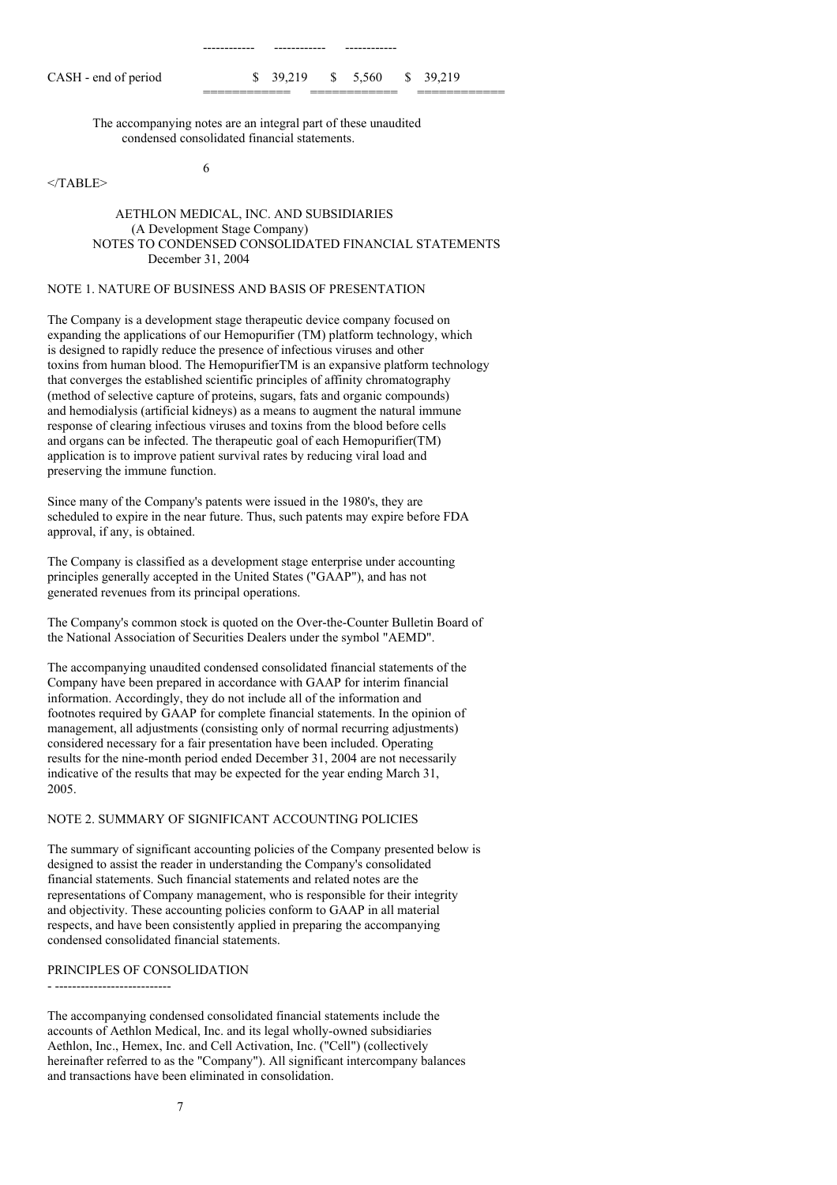============ ============ ============

The accompanying notes are an integral part of these unaudited condensed consolidated financial statements.

# $<$ /TABLE>

### AETHLON MEDICAL, INC. AND SUBSIDIARIES (A Development Stage Company) NOTES TO CONDENSED CONSOLIDATED FINANCIAL STATEMENTS December 31, 2004

------------ ----------- ------------

### NOTE 1. NATURE OF BUSINESS AND BASIS OF PRESENTATION

6

The Company is a development stage therapeutic device company focused on expanding the applications of our Hemopurifier (TM) platform technology, which is designed to rapidly reduce the presence of infectious viruses and other toxins from human blood. The HemopurifierTM is an expansive platform technology that converges the established scientific principles of affinity chromatography (method of selective capture of proteins, sugars, fats and organic compounds) and hemodialysis (artificial kidneys) as a means to augment the natural immune response of clearing infectious viruses and toxins from the blood before cells and organs can be infected. The therapeutic goal of each Hemopurifier(TM) application is to improve patient survival rates by reducing viral load and preserving the immune function.

Since many of the Company's patents were issued in the 1980's, they are scheduled to expire in the near future. Thus, such patents may expire before FDA approval, if any, is obtained.

The Company is classified as a development stage enterprise under accounting principles generally accepted in the United States ("GAAP"), and has not generated revenues from its principal operations.

The Company's common stock is quoted on the Over-the-Counter Bulletin Board of the National Association of Securities Dealers under the symbol "AEMD".

The accompanying unaudited condensed consolidated financial statements of the Company have been prepared in accordance with GAAP for interim financial information. Accordingly, they do not include all of the information and footnotes required by GAAP for complete financial statements. In the opinion of management, all adjustments (consisting only of normal recurring adjustments) considered necessary for a fair presentation have been included. Operating results for the nine-month period ended December 31, 2004 are not necessarily indicative of the results that may be expected for the year ending March 31, 2005.

# NOTE 2. SUMMARY OF SIGNIFICANT ACCOUNTING POLICIES

The summary of significant accounting policies of the Company presented below is designed to assist the reader in understanding the Company's consolidated financial statements. Such financial statements and related notes are the representations of Company management, who is responsible for their integrity and objectivity. These accounting policies conform to GAAP in all material respects, and have been consistently applied in preparing the accompanying condensed consolidated financial statements.

#### PRINCIPLES OF CONSOLIDATION

- ---------------------------

The accompanying condensed consolidated financial statements include the accounts of Aethlon Medical, Inc. and its legal wholly-owned subsidiaries Aethlon, Inc., Hemex, Inc. and Cell Activation, Inc. ("Cell") (collectively hereinafter referred to as the "Company"). All significant intercompany balances and transactions have been eliminated in consolidation.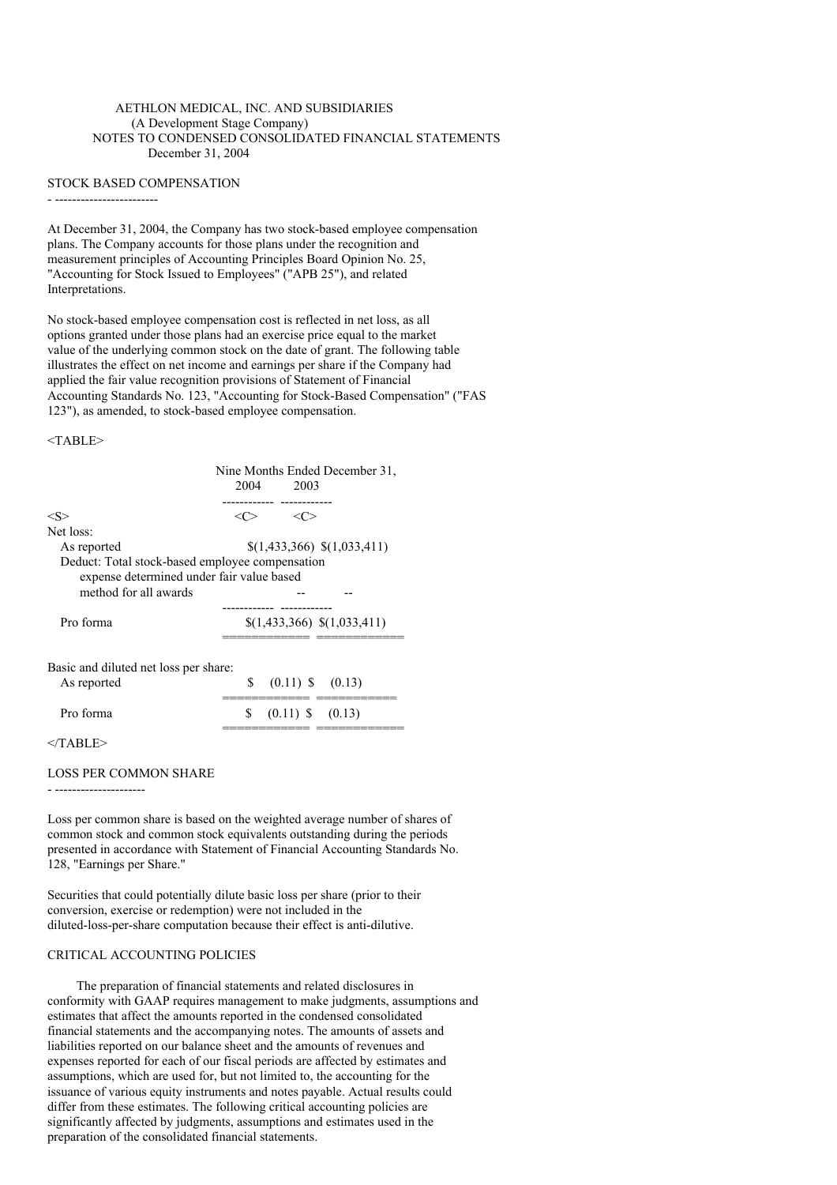### AETHLON MEDICAL, INC. AND SUBSIDIARIES (A Development Stage Company) NOTES TO CONDENSED CONSOLIDATED FINANCIAL STATEMENTS December 31, 2004

## STOCK BASED COMPENSATION

- ------------------------

At December 31, 2004, the Company has two stock-based employee compensation plans. The Company accounts for those plans under the recognition and measurement principles of Accounting Principles Board Opinion No. 25, "Accounting for Stock Issued to Employees" ("APB 25"), and related Interpretations.

No stock-based employee compensation cost is reflected in net loss, as all options granted under those plans had an exercise price equal to the market value of the underlying common stock on the date of grant. The following table illustrates the effect on net income and earnings per share if the Company had applied the fair value recognition provisions of Statement of Financial Accounting Standards No. 123, "Accounting for Stock-Based Compensation" ("FAS 123"), as amended, to stock-based employee compensation.

 $<$ TABLE $>$ 

|                                                                                                                       | Nine Months Ended December 31,<br>2004<br>2003 |
|-----------------------------------------------------------------------------------------------------------------------|------------------------------------------------|
|                                                                                                                       |                                                |
| $<\!\!S\!\!>$                                                                                                         | <∩><br><c></c>                                 |
| Net loss:                                                                                                             |                                                |
| As reported                                                                                                           | \$(1,433,366) \$(1,033,411)                    |
| Deduct: Total stock-based employee compensation<br>expense determined under fair value based<br>method for all awards |                                                |
| Pro forma                                                                                                             | \$(1,433,366) \$(1,033,411)                    |
| Basic and diluted net loss per share:                                                                                 |                                                |
| As reported                                                                                                           | S<br>$(0.11)$ \$ $(0.13)$                      |
| Pro forma                                                                                                             | S<br>$(0.11)$ \$ $(0.13)$                      |
|                                                                                                                       |                                                |

#### </TABLE>

#### LOSS PER COMMON SHARE

- ---------------------

Loss per common share is based on the weighted average number of shares of common stock and common stock equivalents outstanding during the periods presented in accordance with Statement of Financial Accounting Standards No. 128, "Earnings per Share."

Securities that could potentially dilute basic loss per share (prior to their conversion, exercise or redemption) were not included in the diluted-loss-per-share computation because their effect is anti-dilutive.

### CRITICAL ACCOUNTING POLICIES

The preparation of financial statements and related disclosures in conformity with GAAP requires management to make judgments, assumptions and estimates that affect the amounts reported in the condensed consolidated financial statements and the accompanying notes. The amounts of assets and liabilities reported on our balance sheet and the amounts of revenues and expenses reported for each of our fiscal periods are affected by estimates and assumptions, which are used for, but not limited to, the accounting for the issuance of various equity instruments and notes payable. Actual results could differ from these estimates. The following critical accounting policies are significantly affected by judgments, assumptions and estimates used in the preparation of the consolidated financial statements.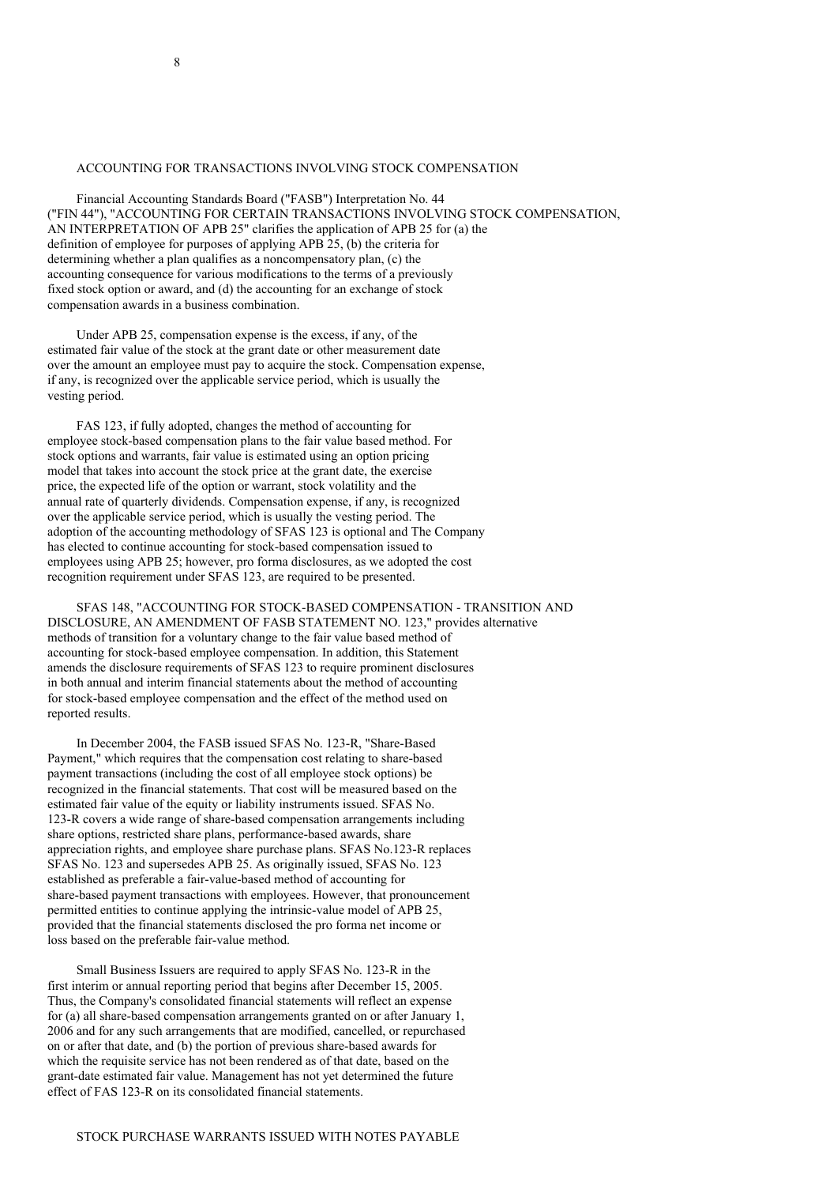#### ACCOUNTING FOR TRANSACTIONS INVOLVING STOCK COMPENSATION

Financial Accounting Standards Board ("FASB") Interpretation No. 44 ("FIN 44"), "ACCOUNTING FOR CERTAIN TRANSACTIONS INVOLVING STOCK COMPENSATION, AN INTERPRETATION OF APB 25" clarifies the application of APB 25 for (a) the definition of employee for purposes of applying APB 25, (b) the criteria for determining whether a plan qualifies as a noncompensatory plan, (c) the accounting consequence for various modifications to the terms of a previously fixed stock option or award, and (d) the accounting for an exchange of stock compensation awards in a business combination.

Under APB 25, compensation expense is the excess, if any, of the estimated fair value of the stock at the grant date or other measurement date over the amount an employee must pay to acquire the stock. Compensation expense, if any, is recognized over the applicable service period, which is usually the vesting period.

FAS 123, if fully adopted, changes the method of accounting for employee stock-based compensation plans to the fair value based method. For stock options and warrants, fair value is estimated using an option pricing model that takes into account the stock price at the grant date, the exercise price, the expected life of the option or warrant, stock volatility and the annual rate of quarterly dividends. Compensation expense, if any, is recognized over the applicable service period, which is usually the vesting period. The adoption of the accounting methodology of SFAS 123 is optional and The Company has elected to continue accounting for stock-based compensation issued to employees using APB 25; however, pro forma disclosures, as we adopted the cost recognition requirement under SFAS 123, are required to be presented.

SFAS 148, "ACCOUNTING FOR STOCK-BASED COMPENSATION - TRANSITION AND DISCLOSURE, AN AMENDMENT OF FASB STATEMENT NO. 123," provides alternative methods of transition for a voluntary change to the fair value based method of accounting for stock-based employee compensation. In addition, this Statement amends the disclosure requirements of SFAS 123 to require prominent disclosures in both annual and interim financial statements about the method of accounting for stock-based employee compensation and the effect of the method used on reported results.

In December 2004, the FASB issued SFAS No. 123-R, "Share-Based Payment," which requires that the compensation cost relating to share-based payment transactions (including the cost of all employee stock options) be recognized in the financial statements. That cost will be measured based on the estimated fair value of the equity or liability instruments issued. SFAS No. 123-R covers a wide range of share-based compensation arrangements including share options, restricted share plans, performance-based awards, share appreciation rights, and employee share purchase plans. SFAS No.123-R replaces SFAS No. 123 and supersedes APB 25. As originally issued, SFAS No. 123 established as preferable a fair-value-based method of accounting for share-based payment transactions with employees. However, that pronouncement permitted entities to continue applying the intrinsic-value model of APB 25, provided that the financial statements disclosed the pro forma net income or loss based on the preferable fair-value method.

Small Business Issuers are required to apply SFAS No. 123-R in the first interim or annual reporting period that begins after December 15, 2005. Thus, the Company's consolidated financial statements will reflect an expense for (a) all share-based compensation arrangements granted on or after January 1, 2006 and for any such arrangements that are modified, cancelled, or repurchased on or after that date, and (b) the portion of previous share-based awards for which the requisite service has not been rendered as of that date, based on the grant-date estimated fair value. Management has not yet determined the future effect of FAS 123-R on its consolidated financial statements.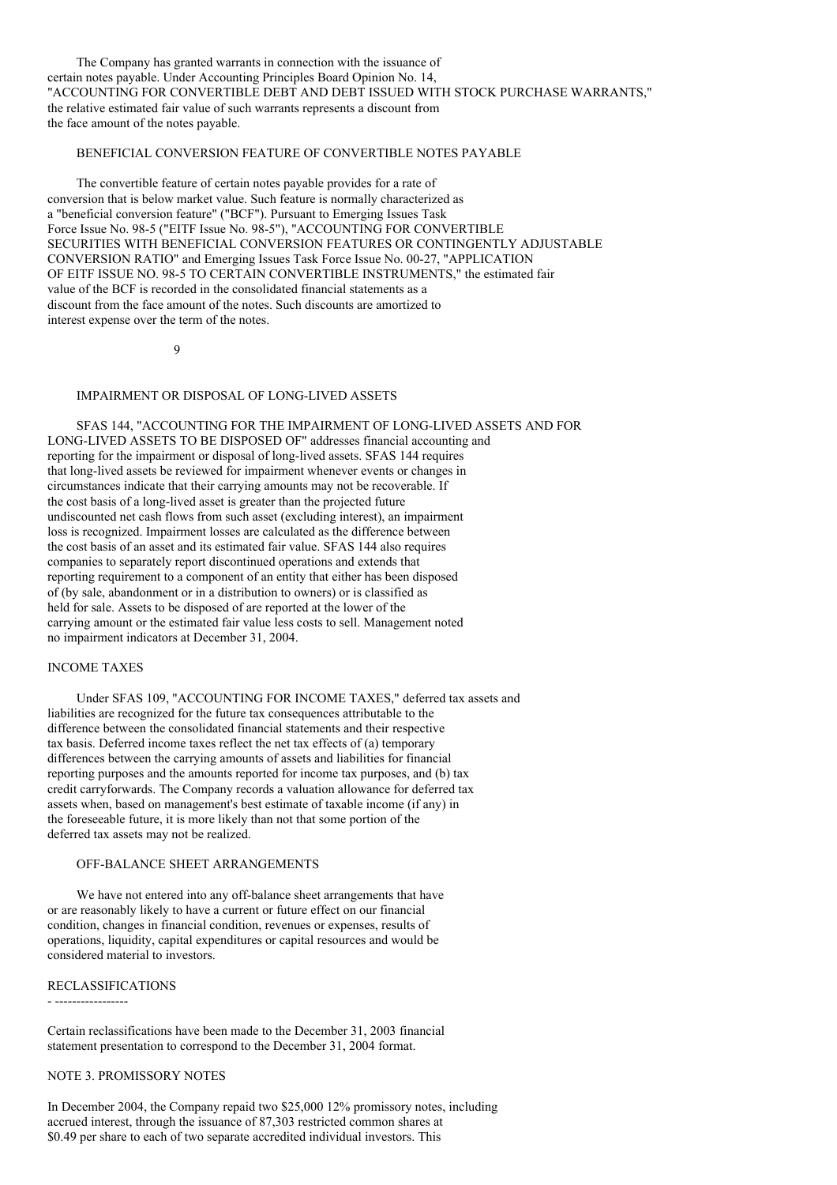The Company has granted warrants in connection with the issuance of certain notes payable. Under Accounting Principles Board Opinion No. 14, "ACCOUNTING FOR CONVERTIBLE DEBT AND DEBT ISSUED WITH STOCK PURCHASE WARRANTS," the relative estimated fair value of such warrants represents a discount from the face amount of the notes payable.

# BENEFICIAL CONVERSION FEATURE OF CONVERTIBLE NOTES PAYABLE

The convertible feature of certain notes payable provides for a rate of conversion that is below market value. Such feature is normally characterized as a "beneficial conversion feature" ("BCF"). Pursuant to Emerging Issues Task Force Issue No. 98-5 ("EITF Issue No. 98-5"), "ACCOUNTING FOR CONVERTIBLE SECURITIES WITH BENEFICIAL CONVERSION FEATURES OR CONTINGENTLY ADJUSTABLE CONVERSION RATIO" and Emerging Issues Task Force Issue No. 00-27, "APPLICATION OF EITF ISSUE NO. 98-5 TO CERTAIN CONVERTIBLE INSTRUMENTS," the estimated fair value of the BCF is recorded in the consolidated financial statements as a discount from the face amount of the notes. Such discounts are amortized to interest expense over the term of the notes.

 $\overline{Q}$ 

## IMPAIRMENT OR DISPOSAL OF LONG-LIVED ASSETS

SFAS 144, "ACCOUNTING FOR THE IMPAIRMENT OF LONG-LIVED ASSETS AND FOR LONG-LIVED ASSETS TO BE DISPOSED OF" addresses financial accounting and reporting for the impairment or disposal of long-lived assets. SFAS 144 requires that long-lived assets be reviewed for impairment whenever events or changes in circumstances indicate that their carrying amounts may not be recoverable. If the cost basis of a long-lived asset is greater than the projected future undiscounted net cash flows from such asset (excluding interest), an impairment loss is recognized. Impairment losses are calculated as the difference between the cost basis of an asset and its estimated fair value. SFAS 144 also requires companies to separately report discontinued operations and extends that reporting requirement to a component of an entity that either has been disposed of (by sale, abandonment or in a distribution to owners) or is classified as held for sale. Assets to be disposed of are reported at the lower of the carrying amount or the estimated fair value less costs to sell. Management noted no impairment indicators at December 31, 2004.

#### INCOME TAXES

Under SFAS 109, "ACCOUNTING FOR INCOME TAXES," deferred tax assets and liabilities are recognized for the future tax consequences attributable to the difference between the consolidated financial statements and their respective tax basis. Deferred income taxes reflect the net tax effects of (a) temporary differences between the carrying amounts of assets and liabilities for financial reporting purposes and the amounts reported for income tax purposes, and (b) tax credit carryforwards. The Company records a valuation allowance for deferred tax assets when, based on management's best estimate of taxable income (if any) in the foreseeable future, it is more likely than not that some portion of the deferred tax assets may not be realized.

### OFF-BALANCE SHEET ARRANGEMENTS

We have not entered into any off-balance sheet arrangements that have or are reasonably likely to have a current or future effect on our financial condition, changes in financial condition, revenues or expenses, results of operations, liquidity, capital expenditures or capital resources and would be considered material to investors.

# RECLASSIFICATIONS

- -----------------

Certain reclassifications have been made to the December 31, 2003 financial statement presentation to correspond to the December 31, 2004 format.

## NOTE 3. PROMISSORY NOTES

In December 2004, the Company repaid two \$25,000 12% promissory notes, including accrued interest, through the issuance of 87,303 restricted common shares at \$0.49 per share to each of two separate accredited individual investors. This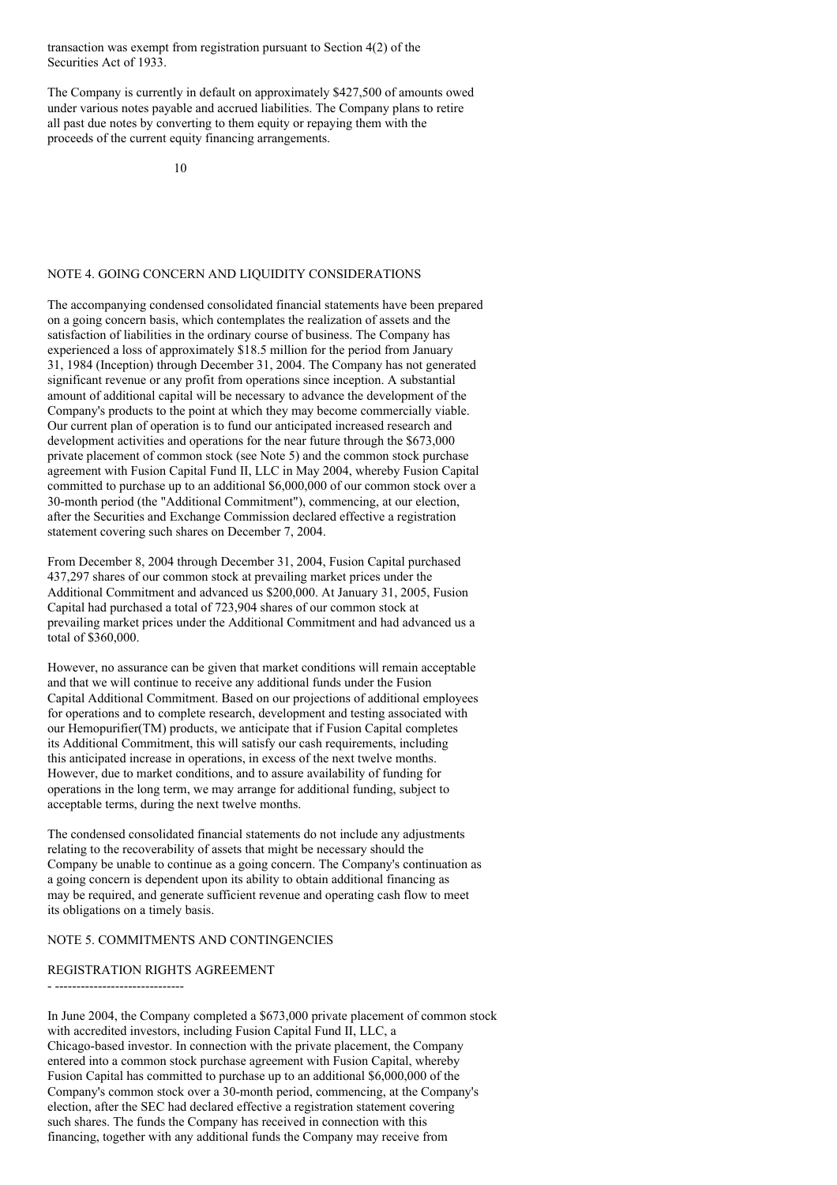transaction was exempt from registration pursuant to Section 4(2) of the Securities Act of 1933.

The Company is currently in default on approximately \$427,500 of amounts owed under various notes payable and accrued liabilities. The Company plans to retire all past due notes by converting to them equity or repaying them with the proceeds of the current equity financing arrangements.

# NOTE 4. GOING CONCERN AND LIQUIDITY CONSIDERATIONS

The accompanying condensed consolidated financial statements have been prepared on a going concern basis, which contemplates the realization of assets and the satisfaction of liabilities in the ordinary course of business. The Company has experienced a loss of approximately \$18.5 million for the period from January 31, 1984 (Inception) through December 31, 2004. The Company has not generated significant revenue or any profit from operations since inception. A substantial amount of additional capital will be necessary to advance the development of the Company's products to the point at which they may become commercially viable. Our current plan of operation is to fund our anticipated increased research and development activities and operations for the near future through the \$673,000 private placement of common stock (see Note 5) and the common stock purchase agreement with Fusion Capital Fund II, LLC in May 2004, whereby Fusion Capital committed to purchase up to an additional \$6,000,000 of our common stock over a 30-month period (the "Additional Commitment"), commencing, at our election, after the Securities and Exchange Commission declared effective a registration statement covering such shares on December 7, 2004.

From December 8, 2004 through December 31, 2004, Fusion Capital purchased 437,297 shares of our common stock at prevailing market prices under the Additional Commitment and advanced us \$200,000. At January 31, 2005, Fusion Capital had purchased a total of 723,904 shares of our common stock at prevailing market prices under the Additional Commitment and had advanced us a total of \$360,000.

However, no assurance can be given that market conditions will remain acceptable and that we will continue to receive any additional funds under the Fusion Capital Additional Commitment. Based on our projections of additional employees for operations and to complete research, development and testing associated with our Hemopurifier(TM) products, we anticipate that if Fusion Capital completes its Additional Commitment, this will satisfy our cash requirements, including this anticipated increase in operations, in excess of the next twelve months. However, due to market conditions, and to assure availability of funding for operations in the long term, we may arrange for additional funding, subject to acceptable terms, during the next twelve months.

The condensed consolidated financial statements do not include any adjustments relating to the recoverability of assets that might be necessary should the Company be unable to continue as a going concern. The Company's continuation as a going concern is dependent upon its ability to obtain additional financing as may be required, and generate sufficient revenue and operating cash flow to meet its obligations on a timely basis.

### NOTE 5. COMMITMENTS AND CONTINGENCIES

#### REGISTRATION RIGHTS AGREEMENT

- ------------------------------

In June 2004, the Company completed a \$673,000 private placement of common stock with accredited investors, including Fusion Capital Fund II, LLC, a Chicago-based investor. In connection with the private placement, the Company entered into a common stock purchase agreement with Fusion Capital, whereby Fusion Capital has committed to purchase up to an additional \$6,000,000 of the Company's common stock over a 30-month period, commencing, at the Company's election, after the SEC had declared effective a registration statement covering such shares. The funds the Company has received in connection with this financing, together with any additional funds the Company may receive from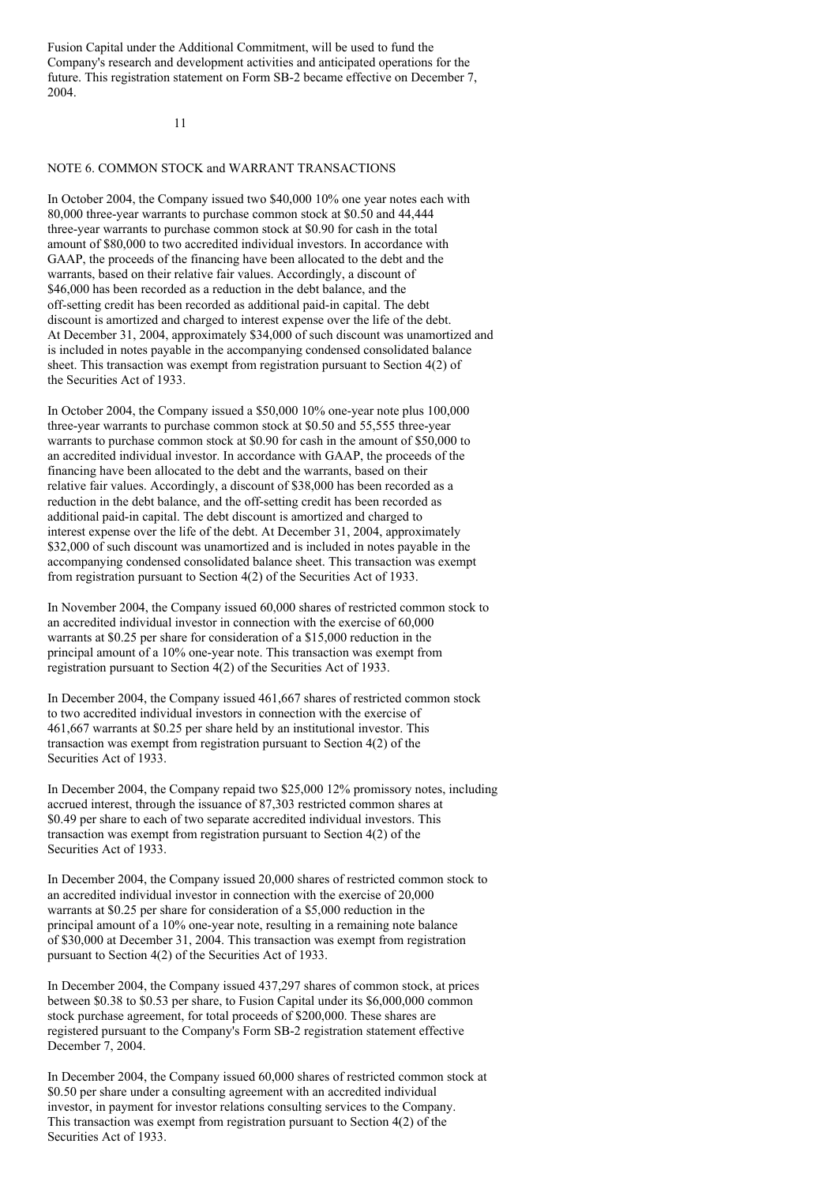Fusion Capital under the Additional Commitment, will be used to fund the Company's research and development activities and anticipated operations for the future. This registration statement on Form SB-2 became effective on December 7, 2004.

11

#### NOTE 6. COMMON STOCK and WARRANT TRANSACTIONS

In October 2004, the Company issued two \$40,000 10% one year notes each with 80,000 three-year warrants to purchase common stock at \$0.50 and 44,444 three-year warrants to purchase common stock at \$0.90 for cash in the total amount of \$80,000 to two accredited individual investors. In accordance with GAAP, the proceeds of the financing have been allocated to the debt and the warrants, based on their relative fair values. Accordingly, a discount of \$46,000 has been recorded as a reduction in the debt balance, and the off-setting credit has been recorded as additional paid-in capital. The debt discount is amortized and charged to interest expense over the life of the debt. At December 31, 2004, approximately \$34,000 of such discount was unamortized and is included in notes payable in the accompanying condensed consolidated balance sheet. This transaction was exempt from registration pursuant to Section 4(2) of the Securities Act of 1933.

In October 2004, the Company issued a \$50,000 10% one-year note plus 100,000 three-year warrants to purchase common stock at \$0.50 and 55,555 three-year warrants to purchase common stock at \$0.90 for cash in the amount of \$50,000 to an accredited individual investor. In accordance with GAAP, the proceeds of the financing have been allocated to the debt and the warrants, based on their relative fair values. Accordingly, a discount of \$38,000 has been recorded as a reduction in the debt balance, and the off-setting credit has been recorded as additional paid-in capital. The debt discount is amortized and charged to interest expense over the life of the debt. At December 31, 2004, approximately \$32,000 of such discount was unamortized and is included in notes payable in the accompanying condensed consolidated balance sheet. This transaction was exempt from registration pursuant to Section 4(2) of the Securities Act of 1933.

In November 2004, the Company issued 60,000 shares of restricted common stock to an accredited individual investor in connection with the exercise of 60,000 warrants at \$0.25 per share for consideration of a \$15,000 reduction in the principal amount of a 10% one-year note. This transaction was exempt from registration pursuant to Section 4(2) of the Securities Act of 1933.

In December 2004, the Company issued 461,667 shares of restricted common stock to two accredited individual investors in connection with the exercise of 461,667 warrants at \$0.25 per share held by an institutional investor. This transaction was exempt from registration pursuant to Section 4(2) of the Securities Act of 1933.

In December 2004, the Company repaid two \$25,000 12% promissory notes, including accrued interest, through the issuance of 87,303 restricted common shares at \$0.49 per share to each of two separate accredited individual investors. This transaction was exempt from registration pursuant to Section 4(2) of the Securities Act of 1933.

In December 2004, the Company issued 20,000 shares of restricted common stock to an accredited individual investor in connection with the exercise of 20,000 warrants at \$0.25 per share for consideration of a \$5,000 reduction in the principal amount of a 10% one-year note, resulting in a remaining note balance of \$30,000 at December 31, 2004. This transaction was exempt from registration pursuant to Section 4(2) of the Securities Act of 1933.

In December 2004, the Company issued 437,297 shares of common stock, at prices between \$0.38 to \$0.53 per share, to Fusion Capital under its \$6,000,000 common stock purchase agreement, for total proceeds of \$200,000. These shares are registered pursuant to the Company's Form SB-2 registration statement effective December 7, 2004.

In December 2004, the Company issued 60,000 shares of restricted common stock at \$0.50 per share under a consulting agreement with an accredited individual investor, in payment for investor relations consulting services to the Company. This transaction was exempt from registration pursuant to Section 4(2) of the Securities Act of 1933.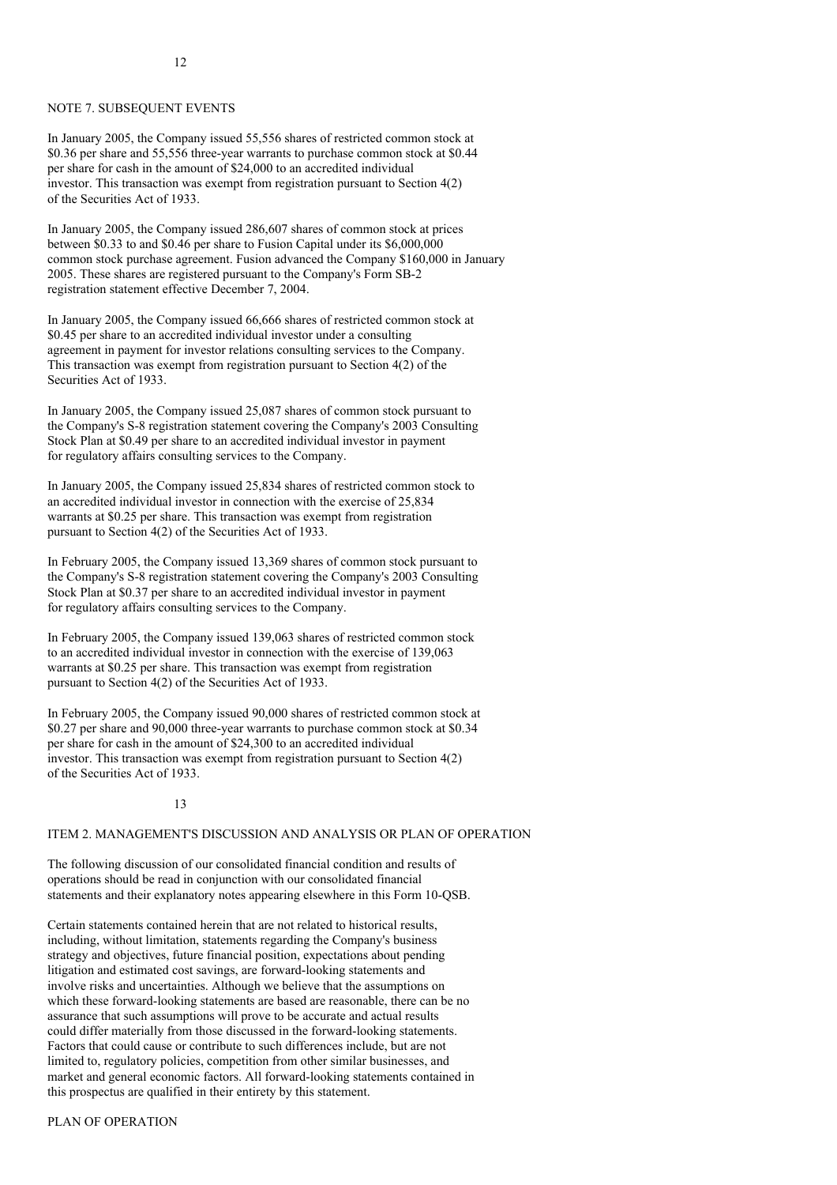### NOTE 7. SUBSEQUENT EVENTS

In January 2005, the Company issued 55,556 shares of restricted common stock at \$0.36 per share and 55,556 three-year warrants to purchase common stock at \$0.44 per share for cash in the amount of \$24,000 to an accredited individual investor. This transaction was exempt from registration pursuant to Section 4(2) of the Securities Act of 1933.

In January 2005, the Company issued 286,607 shares of common stock at prices between \$0.33 to and \$0.46 per share to Fusion Capital under its \$6,000,000 common stock purchase agreement. Fusion advanced the Company \$160,000 in January 2005. These shares are registered pursuant to the Company's Form SB-2 registration statement effective December 7, 2004.

In January 2005, the Company issued 66,666 shares of restricted common stock at \$0.45 per share to an accredited individual investor under a consulting agreement in payment for investor relations consulting services to the Company. This transaction was exempt from registration pursuant to Section 4(2) of the Securities Act of 1933.

In January 2005, the Company issued 25,087 shares of common stock pursuant to the Company's S-8 registration statement covering the Company's 2003 Consulting Stock Plan at \$0.49 per share to an accredited individual investor in payment for regulatory affairs consulting services to the Company.

In January 2005, the Company issued 25,834 shares of restricted common stock to an accredited individual investor in connection with the exercise of 25,834 warrants at \$0.25 per share. This transaction was exempt from registration pursuant to Section 4(2) of the Securities Act of 1933.

In February 2005, the Company issued 13,369 shares of common stock pursuant to the Company's S-8 registration statement covering the Company's 2003 Consulting Stock Plan at \$0.37 per share to an accredited individual investor in payment for regulatory affairs consulting services to the Company.

In February 2005, the Company issued 139,063 shares of restricted common stock to an accredited individual investor in connection with the exercise of 139,063 warrants at \$0.25 per share. This transaction was exempt from registration pursuant to Section 4(2) of the Securities Act of 1933.

In February 2005, the Company issued 90,000 shares of restricted common stock at \$0.27 per share and 90,000 three-year warrants to purchase common stock at \$0.34 per share for cash in the amount of \$24,300 to an accredited individual investor. This transaction was exempt from registration pursuant to Section 4(2) of the Securities Act of 1933.

#### 13

### ITEM 2. MANAGEMENT'S DISCUSSION AND ANALYSIS OR PLAN OF OPERATION

The following discussion of our consolidated financial condition and results of operations should be read in conjunction with our consolidated financial statements and their explanatory notes appearing elsewhere in this Form 10-QSB.

Certain statements contained herein that are not related to historical results, including, without limitation, statements regarding the Company's business strategy and objectives, future financial position, expectations about pending litigation and estimated cost savings, are forward-looking statements and involve risks and uncertainties. Although we believe that the assumptions on which these forward-looking statements are based are reasonable, there can be no assurance that such assumptions will prove to be accurate and actual results could differ materially from those discussed in the forward-looking statements. Factors that could cause or contribute to such differences include, but are not limited to, regulatory policies, competition from other similar businesses, and market and general economic factors. All forward-looking statements contained in this prospectus are qualified in their entirety by this statement.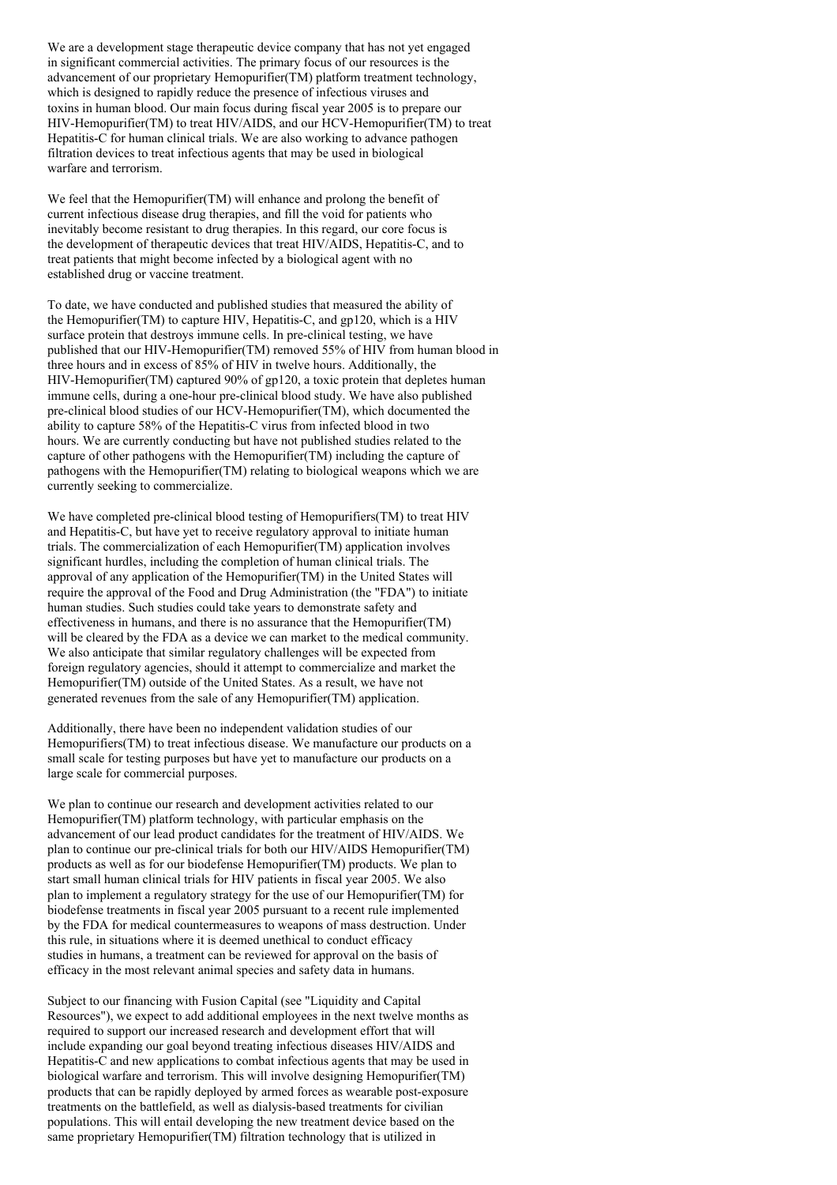We are a development stage therapeutic device company that has not yet engaged in significant commercial activities. The primary focus of our resources is the advancement of our proprietary Hemopurifier(TM) platform treatment technology, which is designed to rapidly reduce the presence of infectious viruses and toxins in human blood. Our main focus during fiscal year 2005 is to prepare our HIV-Hemopurifier(TM) to treat HIV/AIDS, and our HCV-Hemopurifier(TM) to treat Hepatitis-C for human clinical trials. We are also working to advance pathogen filtration devices to treat infectious agents that may be used in biological warfare and terrorism.

We feel that the Hemopurifier(TM) will enhance and prolong the benefit of current infectious disease drug therapies, and fill the void for patients who inevitably become resistant to drug therapies. In this regard, our core focus is the development of therapeutic devices that treat HIV/AIDS, Hepatitis-C, and to treat patients that might become infected by a biological agent with no established drug or vaccine treatment.

To date, we have conducted and published studies that measured the ability of the Hemopurifier(TM) to capture HIV, Hepatitis-C, and gp120, which is a HIV surface protein that destroys immune cells. In pre-clinical testing, we have published that our HIV-Hemopurifier(TM) removed 55% of HIV from human blood in three hours and in excess of  $85\%$  of HIV in twelve hours. Additionally, the HIV-Hemopurifier(TM) captured 90% of gp120, a toxic protein that depletes human immune cells, during a one-hour pre-clinical blood study. We have also published pre-clinical blood studies of our HCV-Hemopurifier(TM), which documented the ability to capture 58% of the Hepatitis-C virus from infected blood in two hours. We are currently conducting but have not published studies related to the capture of other pathogens with the Hemopurifier(TM) including the capture of pathogens with the Hemopurifier(TM) relating to biological weapons which we are currently seeking to commercialize.

We have completed pre-clinical blood testing of Hemopurifiers(TM) to treat HIV and Hepatitis-C, but have yet to receive regulatory approval to initiate human trials. The commercialization of each Hemopurifier(TM) application involves significant hurdles, including the completion of human clinical trials. The approval of any application of the Hemopurifier(TM) in the United States will require the approval of the Food and Drug Administration (the "FDA") to initiate human studies. Such studies could take years to demonstrate safety and effectiveness in humans, and there is no assurance that the Hemopurifier(TM) will be cleared by the FDA as a device we can market to the medical community. We also anticipate that similar regulatory challenges will be expected from foreign regulatory agencies, should it attempt to commercialize and market the Hemopurifier(TM) outside of the United States. As a result, we have not generated revenues from the sale of any Hemopurifier(TM) application.

Additionally, there have been no independent validation studies of our Hemopurifiers(TM) to treat infectious disease. We manufacture our products on a small scale for testing purposes but have yet to manufacture our products on a large scale for commercial purposes.

We plan to continue our research and development activities related to our Hemopurifier(TM) platform technology, with particular emphasis on the advancement of our lead product candidates for the treatment of HIV/AIDS. We plan to continue our pre-clinical trials for both our HIV/AIDS Hemopurifier(TM) products as well as for our biodefense Hemopurifier(TM) products. We plan to start small human clinical trials for HIV patients in fiscal year 2005. We also plan to implement a regulatory strategy for the use of our Hemopurifier(TM) for biodefense treatments in fiscal year 2005 pursuant to a recent rule implemented by the FDA for medical countermeasures to weapons of mass destruction. Under this rule, in situations where it is deemed unethical to conduct efficacy studies in humans, a treatment can be reviewed for approval on the basis of efficacy in the most relevant animal species and safety data in humans.

Subject to our financing with Fusion Capital (see "Liquidity and Capital Resources"), we expect to add additional employees in the next twelve months as required to support our increased research and development effort that will include expanding our goal beyond treating infectious diseases HIV/AIDS and Hepatitis-C and new applications to combat infectious agents that may be used in biological warfare and terrorism. This will involve designing Hemopurifier(TM) products that can be rapidly deployed by armed forces as wearable post-exposure treatments on the battlefield, as well as dialysis-based treatments for civilian populations. This will entail developing the new treatment device based on the same proprietary Hemopurifier(TM) filtration technology that is utilized in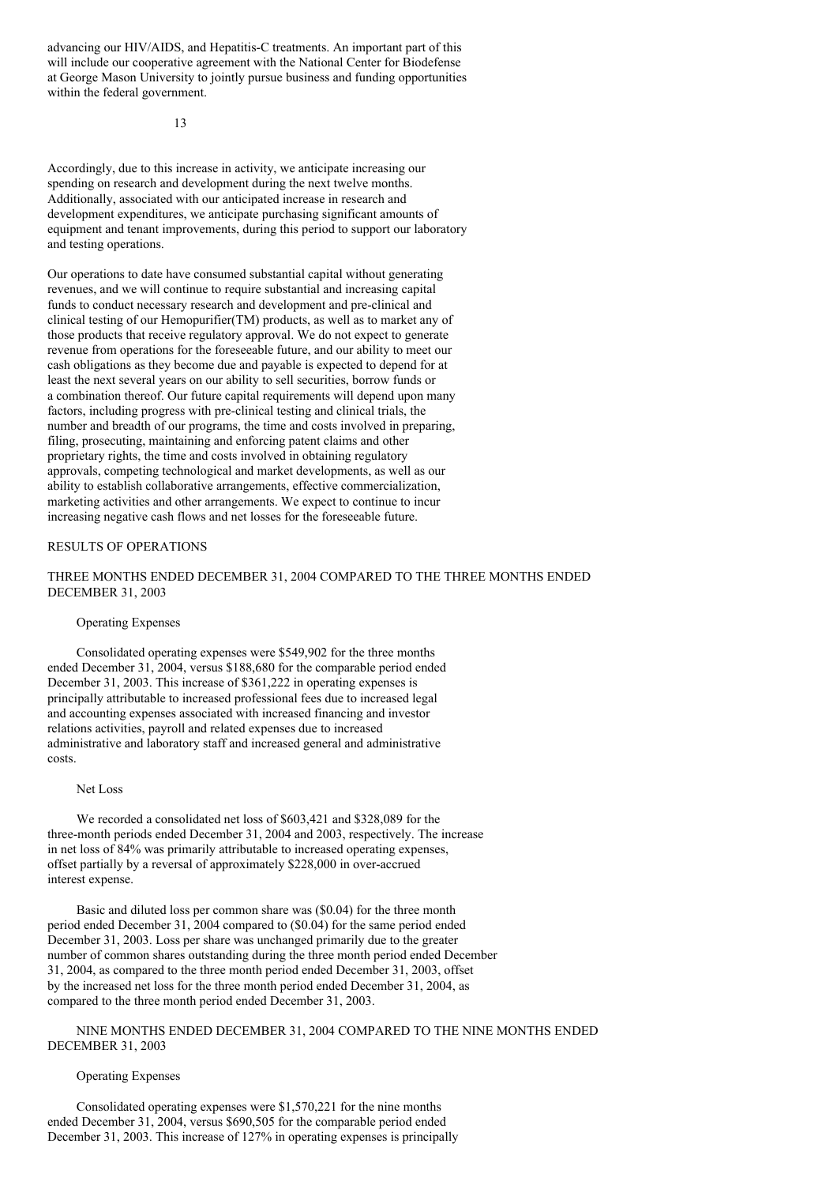advancing our HIV/AIDS, and Hepatitis-C treatments. An important part of this will include our cooperative agreement with the National Center for Biodefense at George Mason University to jointly pursue business and funding opportunities within the federal government.

13

Accordingly, due to this increase in activity, we anticipate increasing our spending on research and development during the next twelve months. Additionally, associated with our anticipated increase in research and development expenditures, we anticipate purchasing significant amounts of equipment and tenant improvements, during this period to support our laboratory and testing operations.

Our operations to date have consumed substantial capital without generating revenues, and we will continue to require substantial and increasing capital funds to conduct necessary research and development and pre-clinical and clinical testing of our Hemopurifier(TM) products, as well as to market any of those products that receive regulatory approval. We do not expect to generate revenue from operations for the foreseeable future, and our ability to meet our cash obligations as they become due and payable is expected to depend for at least the next several years on our ability to sell securities, borrow funds or a combination thereof. Our future capital requirements will depend upon many factors, including progress with pre-clinical testing and clinical trials, the number and breadth of our programs, the time and costs involved in preparing, filing, prosecuting, maintaining and enforcing patent claims and other proprietary rights, the time and costs involved in obtaining regulatory approvals, competing technological and market developments, as well as our ability to establish collaborative arrangements, effective commercialization, marketing activities and other arrangements. We expect to continue to incur increasing negative cash flows and net losses for the foreseeable future.

# RESULTS OF OPERATIONS

## THREE MONTHS ENDED DECEMBER 31, 2004 COMPARED TO THE THREE MONTHS ENDED DECEMBER 31, 2003

#### Operating Expenses

Consolidated operating expenses were \$549,902 for the three months ended December 31, 2004, versus \$188,680 for the comparable period ended December 31, 2003. This increase of \$361,222 in operating expenses is principally attributable to increased professional fees due to increased legal and accounting expenses associated with increased financing and investor relations activities, payroll and related expenses due to increased administrative and laboratory staff and increased general and administrative costs.

#### Net Loss

We recorded a consolidated net loss of \$603,421 and \$328,089 for the three-month periods ended December 31, 2004 and 2003, respectively. The increase in net loss of 84% was primarily attributable to increased operating expenses, offset partially by a reversal of approximately \$228,000 in over-accrued interest expense.

Basic and diluted loss per common share was (\$0.04) for the three month period ended December 31, 2004 compared to (\$0.04) for the same period ended December 31, 2003. Loss per share was unchanged primarily due to the greater number of common shares outstanding during the three month period ended December 31, 2004, as compared to the three month period ended December 31, 2003, offset by the increased net loss for the three month period ended December 31, 2004, as compared to the three month period ended December 31, 2003.

## NINE MONTHS ENDED DECEMBER 31, 2004 COMPARED TO THE NINE MONTHS ENDED DECEMBER 31, 2003

#### Operating Expenses

Consolidated operating expenses were \$1,570,221 for the nine months ended December 31, 2004, versus \$690,505 for the comparable period ended December 31, 2003. This increase of 127% in operating expenses is principally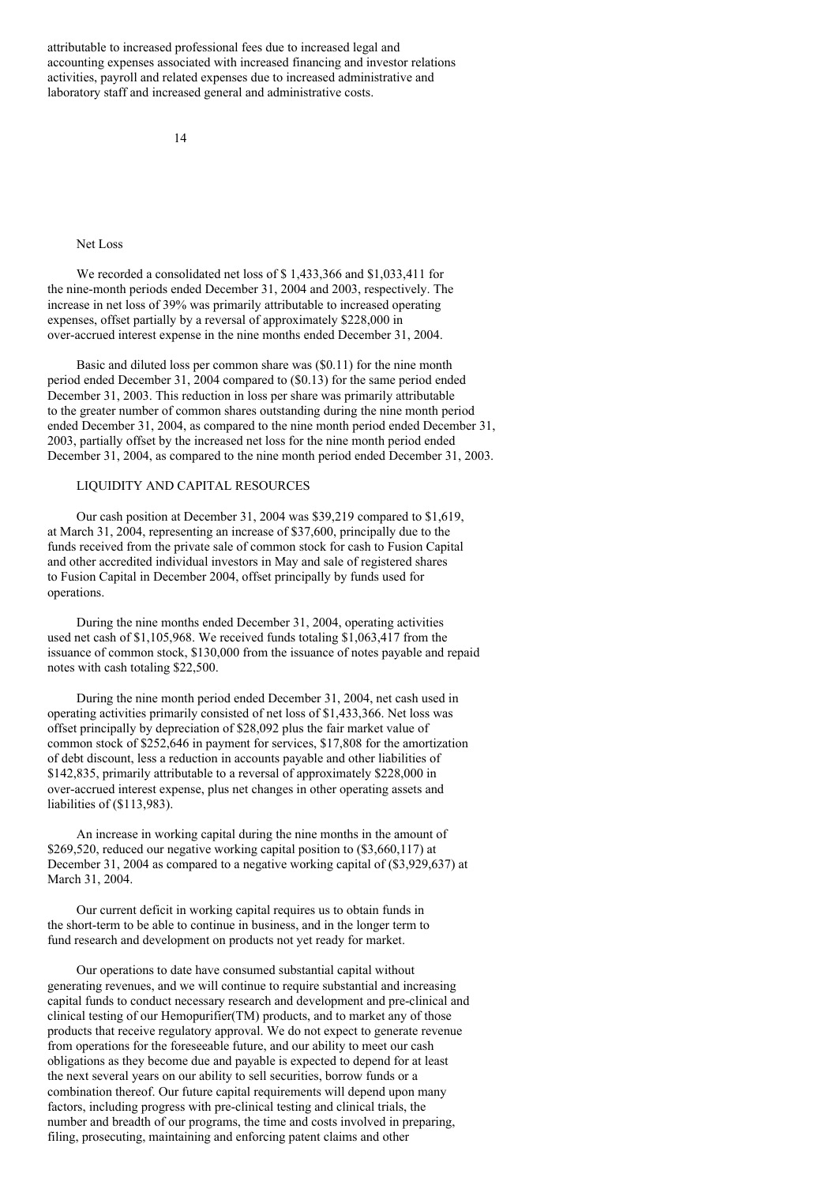attributable to increased professional fees due to increased legal and accounting expenses associated with increased financing and investor relations activities, payroll and related expenses due to increased administrative and laboratory staff and increased general and administrative costs.

14

Net Loss

We recorded a consolidated net loss of \$ 1,433,366 and \$1,033,411 for the nine-month periods ended December 31, 2004 and 2003, respectively. The increase in net loss of 39% was primarily attributable to increased operating expenses, offset partially by a reversal of approximately \$228,000 in over-accrued interest expense in the nine months ended December 31, 2004.

Basic and diluted loss per common share was (\$0.11) for the nine month period ended December 31, 2004 compared to (\$0.13) for the same period ended December 31, 2003. This reduction in loss per share was primarily attributable to the greater number of common shares outstanding during the nine month period ended December 31, 2004, as compared to the nine month period ended December 31, 2003, partially offset by the increased net loss for the nine month period ended December 31, 2004, as compared to the nine month period ended December 31, 2003.

# LIQUIDITY AND CAPITAL RESOURCES

Our cash position at December 31, 2004 was \$39,219 compared to \$1,619, at March 31, 2004, representing an increase of \$37,600, principally due to the funds received from the private sale of common stock for cash to Fusion Capital and other accredited individual investors in May and sale of registered shares to Fusion Capital in December 2004, offset principally by funds used for operations.

During the nine months ended December 31, 2004, operating activities used net cash of \$1,105,968. We received funds totaling \$1,063,417 from the issuance of common stock, \$130,000 from the issuance of notes payable and repaid notes with cash totaling \$22,500.

During the nine month period ended December 31, 2004, net cash used in operating activities primarily consisted of net loss of \$1,433,366. Net loss was offset principally by depreciation of \$28,092 plus the fair market value of common stock of \$252,646 in payment for services, \$17,808 for the amortization of debt discount, less a reduction in accounts payable and other liabilities of \$142,835, primarily attributable to a reversal of approximately \$228,000 in over-accrued interest expense, plus net changes in other operating assets and liabilities of (\$113,983).

An increase in working capital during the nine months in the amount of \$269,520, reduced our negative working capital position to (\$3,660,117) at December 31, 2004 as compared to a negative working capital of (\$3,929,637) at March 31, 2004.

Our current deficit in working capital requires us to obtain funds in the short-term to be able to continue in business, and in the longer term to fund research and development on products not yet ready for market.

Our operations to date have consumed substantial capital without generating revenues, and we will continue to require substantial and increasing capital funds to conduct necessary research and development and pre-clinical and clinical testing of our Hemopurifier(TM) products, and to market any of those products that receive regulatory approval. We do not expect to generate revenue from operations for the foreseeable future, and our ability to meet our cash obligations as they become due and payable is expected to depend for at least the next several years on our ability to sell securities, borrow funds or a combination thereof. Our future capital requirements will depend upon many factors, including progress with pre-clinical testing and clinical trials, the number and breadth of our programs, the time and costs involved in preparing, filing, prosecuting, maintaining and enforcing patent claims and other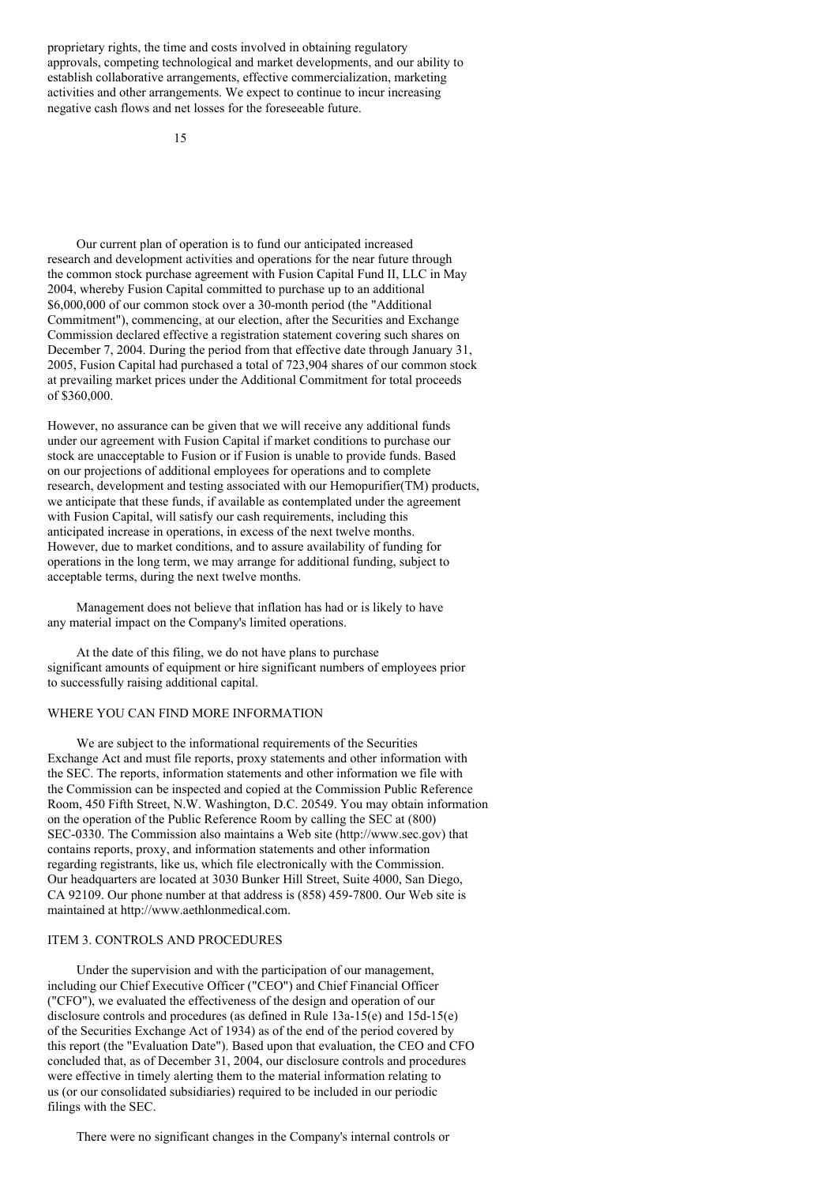proprietary rights, the time and costs involved in obtaining regulatory approvals, competing technological and market developments, and our ability to establish collaborative arrangements, effective commercialization, marketing activities and other arrangements. We expect to continue to incur increasing negative cash flows and net losses for the foreseeable future.

Our current plan of operation is to fund our anticipated increased research and development activities and operations for the near future through the common stock purchase agreement with Fusion Capital Fund II, LLC in May 2004, whereby Fusion Capital committed to purchase up to an additional \$6,000,000 of our common stock over a 30-month period (the "Additional Commitment"), commencing, at our election, after the Securities and Exchange Commission declared effective a registration statement covering such shares on December 7, 2004. During the period from that effective date through January 31, 2005, Fusion Capital had purchased a total of 723,904 shares of our common stock at prevailing market prices under the Additional Commitment for total proceeds of \$360,000.

However, no assurance can be given that we will receive any additional funds under our agreement with Fusion Capital if market conditions to purchase our stock are unacceptable to Fusion or if Fusion is unable to provide funds. Based on our projections of additional employees for operations and to complete research, development and testing associated with our Hemopurifier(TM) products, we anticipate that these funds, if available as contemplated under the agreement with Fusion Capital, will satisfy our cash requirements, including this anticipated increase in operations, in excess of the next twelve months. However, due to market conditions, and to assure availability of funding for operations in the long term, we may arrange for additional funding, subject to acceptable terms, during the next twelve months.

Management does not believe that inflation has had or is likely to have any material impact on the Company's limited operations.

At the date of this filing, we do not have plans to purchase significant amounts of equipment or hire significant numbers of employees prior to successfully raising additional capital.

### WHERE YOU CAN FIND MORE INFORMATION

We are subject to the informational requirements of the Securities Exchange Act and must file reports, proxy statements and other information with the SEC. The reports, information statements and other information we file with the Commission can be inspected and copied at the Commission Public Reference Room, 450 Fifth Street, N.W. Washington, D.C. 20549. You may obtain information on the operation of the Public Reference Room by calling the SEC at (800) SEC-0330. The Commission also maintains a Web site (http://www.sec.gov) that contains reports, proxy, and information statements and other information regarding registrants, like us, which file electronically with the Commission. Our headquarters are located at 3030 Bunker Hill Street, Suite 4000, San Diego, CA 92109. Our phone number at that address is (858) 459-7800. Our Web site is maintained at http://www.aethlonmedical.com.

#### ITEM 3. CONTROLS AND PROCEDURES

Under the supervision and with the participation of our management, including our Chief Executive Officer ("CEO") and Chief Financial Officer ("CFO"), we evaluated the effectiveness of the design and operation of our disclosure controls and procedures (as defined in Rule 13a-15(e) and 15d-15(e) of the Securities Exchange Act of 1934) as of the end of the period covered by this report (the "Evaluation Date"). Based upon that evaluation, the CEO and CFO concluded that, as of December 31, 2004, our disclosure controls and procedures were effective in timely alerting them to the material information relating to us (or our consolidated subsidiaries) required to be included in our periodic filings with the SEC.

There were no significant changes in the Company's internal controls or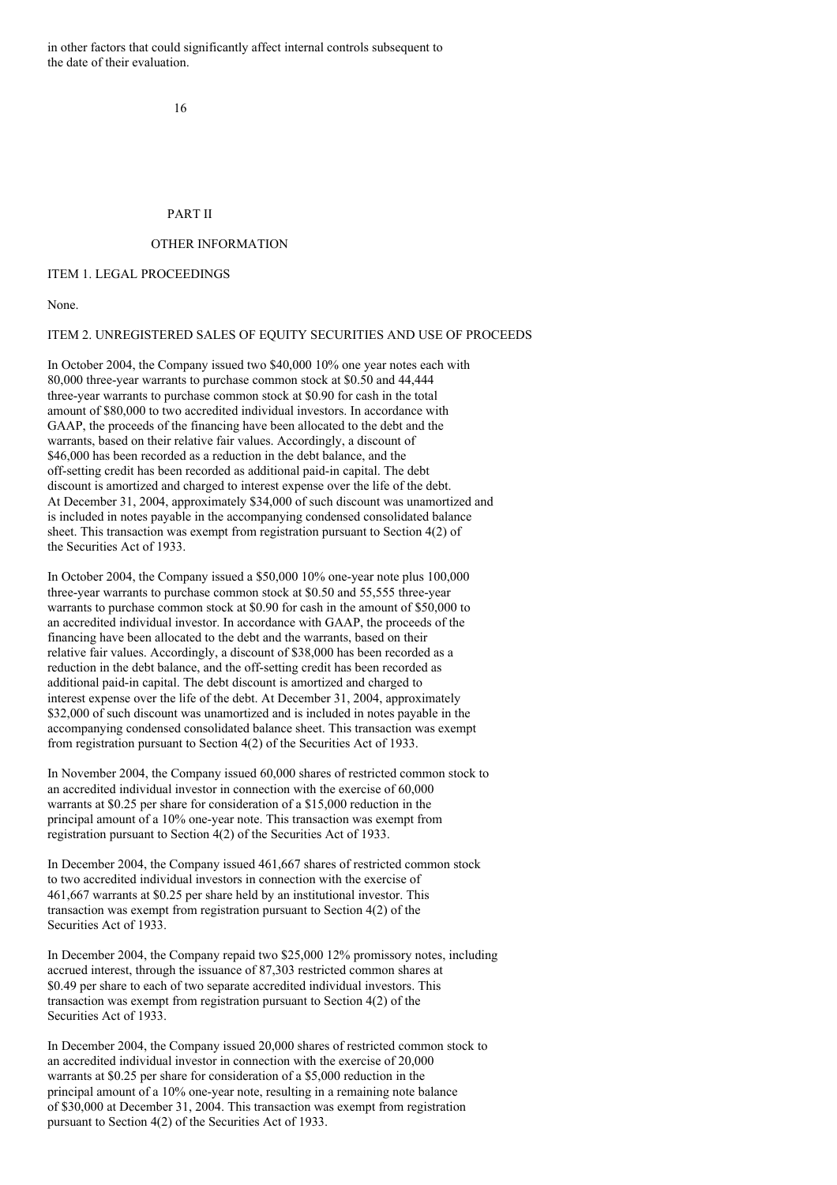in other factors that could significantly affect internal controls subsequent to the date of their evaluation.

16

# PART II

### OTHER INFORMATION

# ITEM 1. LEGAL PROCEEDINGS

None.

### ITEM 2. UNREGISTERED SALES OF EQUITY SECURITIES AND USE OF PROCEEDS

In October 2004, the Company issued two \$40,000 10% one year notes each with 80,000 three-year warrants to purchase common stock at \$0.50 and 44,444 three-year warrants to purchase common stock at \$0.90 for cash in the total amount of \$80,000 to two accredited individual investors. In accordance with GAAP, the proceeds of the financing have been allocated to the debt and the warrants, based on their relative fair values. Accordingly, a discount of \$46,000 has been recorded as a reduction in the debt balance, and the off-setting credit has been recorded as additional paid-in capital. The debt discount is amortized and charged to interest expense over the life of the debt. At December 31, 2004, approximately \$34,000 of such discount was unamortized and is included in notes payable in the accompanying condensed consolidated balance sheet. This transaction was exempt from registration pursuant to Section 4(2) of the Securities Act of 1933.

In October 2004, the Company issued a \$50,000 10% one-year note plus 100,000 three-year warrants to purchase common stock at \$0.50 and 55,555 three-year warrants to purchase common stock at \$0.90 for cash in the amount of \$50,000 to an accredited individual investor. In accordance with GAAP, the proceeds of the financing have been allocated to the debt and the warrants, based on their relative fair values. Accordingly, a discount of \$38,000 has been recorded as a reduction in the debt balance, and the off-setting credit has been recorded as additional paid-in capital. The debt discount is amortized and charged to interest expense over the life of the debt. At December 31, 2004, approximately \$32,000 of such discount was unamortized and is included in notes payable in the accompanying condensed consolidated balance sheet. This transaction was exempt from registration pursuant to Section 4(2) of the Securities Act of 1933.

In November 2004, the Company issued 60,000 shares of restricted common stock to an accredited individual investor in connection with the exercise of 60,000 warrants at \$0.25 per share for consideration of a \$15,000 reduction in the principal amount of a 10% one-year note. This transaction was exempt from registration pursuant to Section 4(2) of the Securities Act of 1933.

In December 2004, the Company issued 461,667 shares of restricted common stock to two accredited individual investors in connection with the exercise of 461,667 warrants at \$0.25 per share held by an institutional investor. This transaction was exempt from registration pursuant to Section 4(2) of the Securities Act of 1933.

In December 2004, the Company repaid two \$25,000 12% promissory notes, including accrued interest, through the issuance of 87,303 restricted common shares at \$0.49 per share to each of two separate accredited individual investors. This transaction was exempt from registration pursuant to Section 4(2) of the Securities Act of 1933.

In December 2004, the Company issued 20,000 shares of restricted common stock to an accredited individual investor in connection with the exercise of 20,000 warrants at \$0.25 per share for consideration of a \$5,000 reduction in the principal amount of a 10% one-year note, resulting in a remaining note balance of \$30,000 at December 31, 2004. This transaction was exempt from registration pursuant to Section 4(2) of the Securities Act of 1933.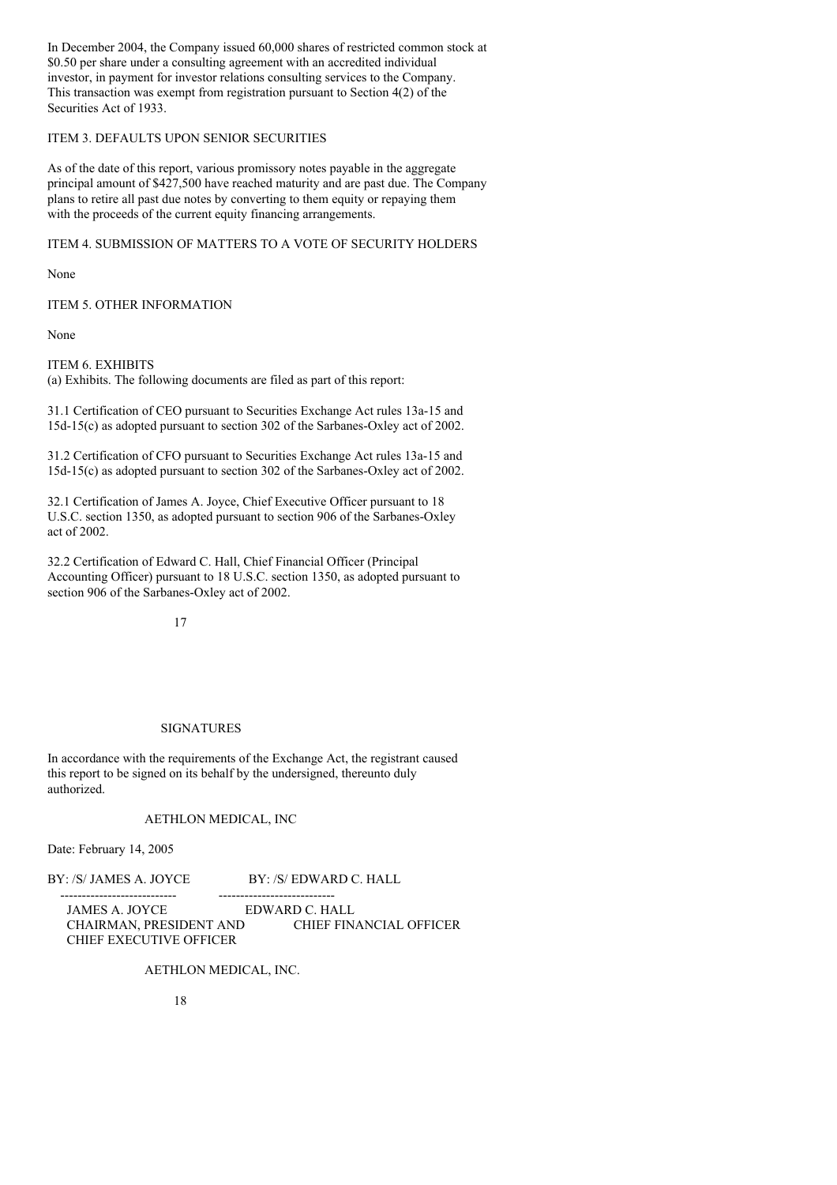In December 2004, the Company issued 60,000 shares of restricted common stock at \$0.50 per share under a consulting agreement with an accredited individual investor, in payment for investor relations consulting services to the Company. This transaction was exempt from registration pursuant to Section 4(2) of the Securities Act of 1933.

# ITEM 3. DEFAULTS UPON SENIOR SECURITIES

As of the date of this report, various promissory notes payable in the aggregate principal amount of \$427,500 have reached maturity and are past due. The Company plans to retire all past due notes by converting to them equity or repaying them with the proceeds of the current equity financing arrangements.

# ITEM 4. SUBMISSION OF MATTERS TO A VOTE OF SECURITY HOLDERS

None

## ITEM 5. OTHER INFORMATION

None

## ITEM 6. EXHIBITS

(a) Exhibits. The following documents are filed as part of this report:

31.1 Certification of CEO pursuant to Securities Exchange Act rules 13a-15 and 15d-15(c) as adopted pursuant to section 302 of the Sarbanes-Oxley act of 2002.

31.2 Certification of CFO pursuant to Securities Exchange Act rules 13a-15 and 15d-15(c) as adopted pursuant to section 302 of the Sarbanes-Oxley act of 2002.

32.1 Certification of James A. Joyce, Chief Executive Officer pursuant to 18 U.S.C. section 1350, as adopted pursuant to section 906 of the Sarbanes-Oxley act of 2002.

32.2 Certification of Edward C. Hall, Chief Financial Officer (Principal Accounting Officer) pursuant to 18 U.S.C. section 1350, as adopted pursuant to section 906 of the Sarbanes-Oxley act of 2002.

17

#### SIGNATURES

In accordance with the requirements of the Exchange Act, the registrant caused this report to be signed on its behalf by the undersigned, thereunto duly authorized.

## AETHLON MEDICAL, INC

Date: February 14, 2005

BY: /S/ JAMES A. JOYCE BY: /S/ EDWARD C. HALL

--------------------------- --------------------------- JAMES A. JOYCE EDWARD C. HALL CHAIRMAN, PRESIDENT AND CHIEF FINANCIAL OFFICER CHIEF EXECUTIVE OFFICER

AETHLON MEDICAL, INC.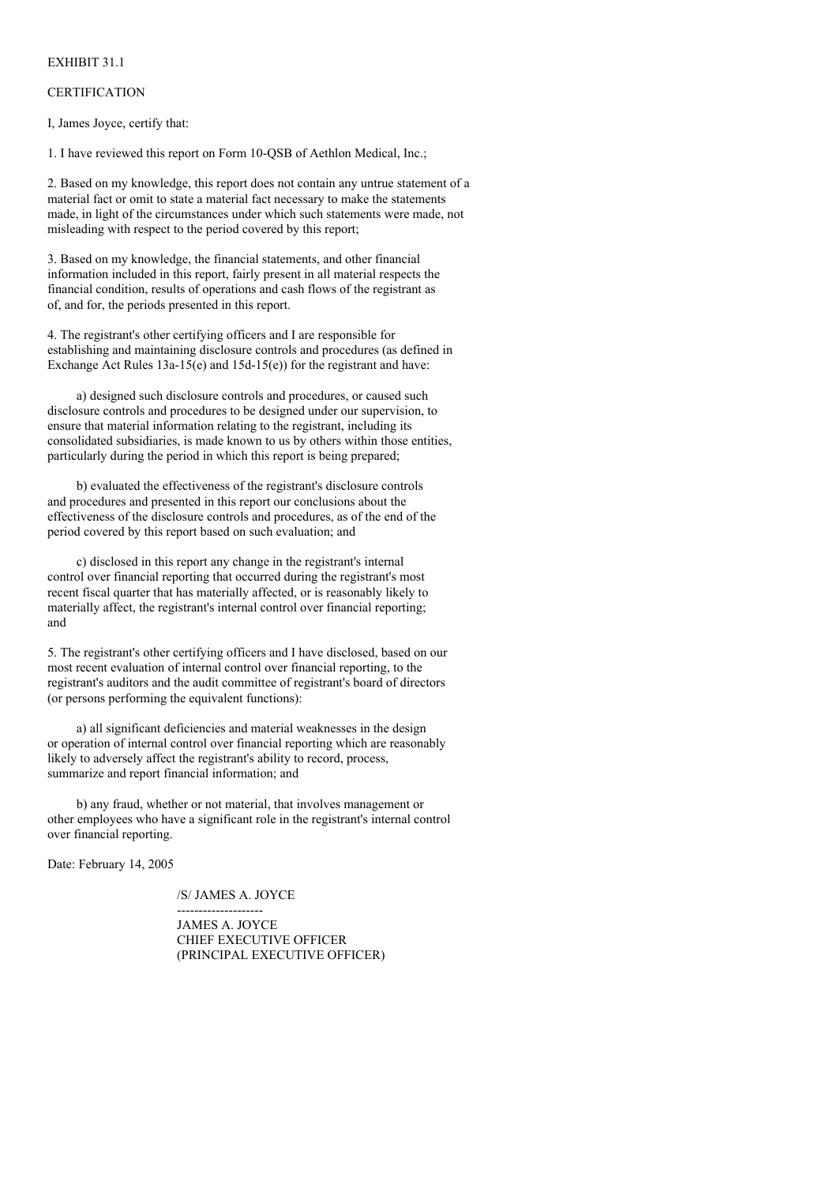## EXHIBIT 31.1

# **CERTIFICATION**

I, James Joyce, certify that:

1. I have reviewed this report on Form 10-QSB of Aethlon Medical, Inc.;

2. Based on my knowledge, this report does not contain any untrue statement of a material fact or omit to state a material fact necessary to make the statements made, in light of the circumstances under which such statements were made, not misleading with respect to the period covered by this report;

3. Based on my knowledge, the financial statements, and other financial information included in this report, fairly present in all material respects the financial condition, results of operations and cash flows of the registrant as of, and for, the periods presented in this report.

4. The registrant's other certifying officers and I are responsible for establishing and maintaining disclosure controls and procedures (as defined in Exchange Act Rules  $13a-15(e)$  and  $15d-15(e)$  for the registrant and have:

a) designed such disclosure controls and procedures, or caused such disclosure controls and procedures to be designed under our supervision, to ensure that material information relating to the registrant, including its consolidated subsidiaries, is made known to us by others within those entities, particularly during the period in which this report is being prepared;

b) evaluated the effectiveness of the registrant's disclosure controls and procedures and presented in this report our conclusions about the effectiveness of the disclosure controls and procedures, as of the end of the period covered by this report based on such evaluation; and

c) disclosed in this report any change in the registrant's internal control over financial reporting that occurred during the registrant's most recent fiscal quarter that has materially affected, or is reasonably likely to materially affect, the registrant's internal control over financial reporting; and

5. The registrant's other certifying officers and I have disclosed, based on our most recent evaluation of internal control over financial reporting, to the registrant's auditors and the audit committee of registrant's board of directors (or persons performing the equivalent functions):

a) all significant deficiencies and material weaknesses in the design or operation of internal control over financial reporting which are reasonably likely to adversely affect the registrant's ability to record, process, summarize and report financial information; and

b) any fraud, whether or not material, that involves management or other employees who have a significant role in the registrant's internal control over financial reporting.

Date: February 14, 2005

/S/ JAMES A. JOYCE --------------------

JAMES A. JOYCE CHIEF EXECUTIVE OFFICER (PRINCIPAL EXECUTIVE OFFICER)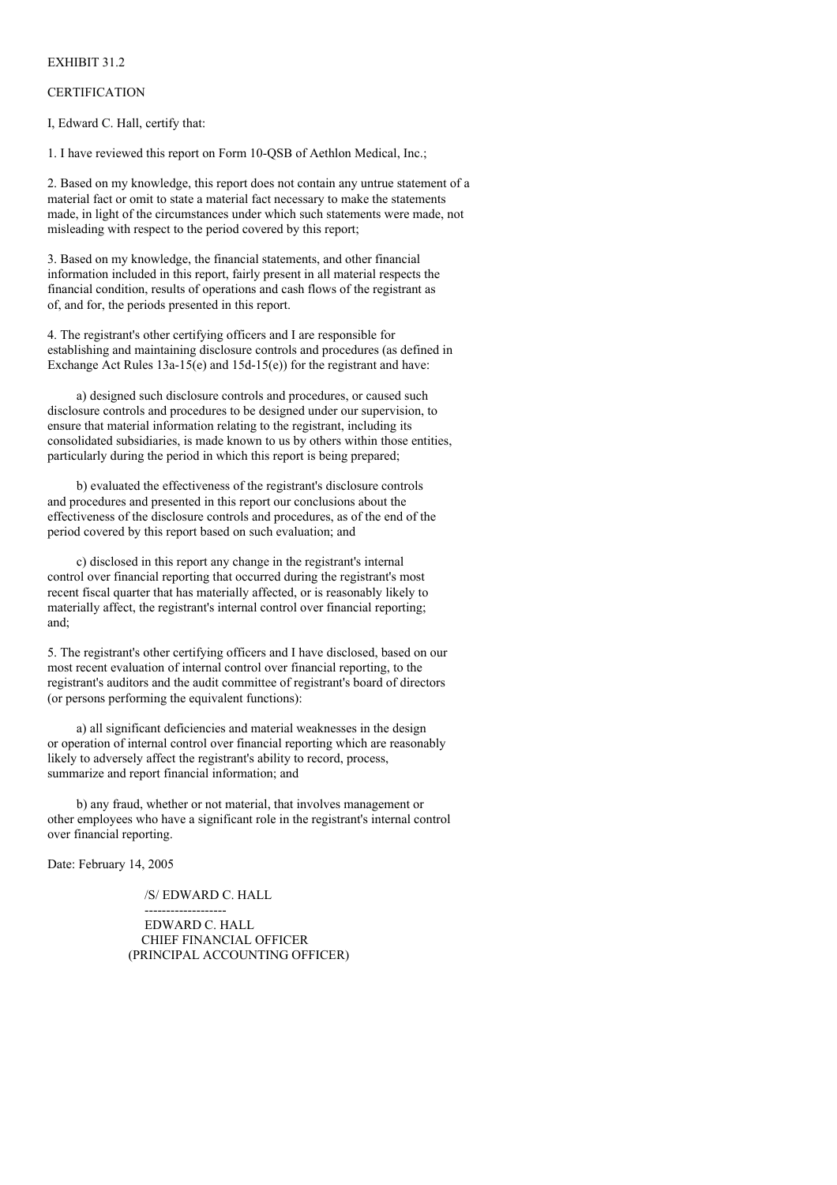## EXHIBIT 31.2

# **CERTIFICATION**

I, Edward C. Hall, certify that:

1. I have reviewed this report on Form 10-QSB of Aethlon Medical, Inc.;

2. Based on my knowledge, this report does not contain any untrue statement of a material fact or omit to state a material fact necessary to make the statements made, in light of the circumstances under which such statements were made, not misleading with respect to the period covered by this report;

3. Based on my knowledge, the financial statements, and other financial information included in this report, fairly present in all material respects the financial condition, results of operations and cash flows of the registrant as of, and for, the periods presented in this report.

4. The registrant's other certifying officers and I are responsible for establishing and maintaining disclosure controls and procedures (as defined in Exchange Act Rules  $13a-15(e)$  and  $15d-15(e)$  for the registrant and have:

a) designed such disclosure controls and procedures, or caused such disclosure controls and procedures to be designed under our supervision, to ensure that material information relating to the registrant, including its consolidated subsidiaries, is made known to us by others within those entities, particularly during the period in which this report is being prepared;

b) evaluated the effectiveness of the registrant's disclosure controls and procedures and presented in this report our conclusions about the effectiveness of the disclosure controls and procedures, as of the end of the period covered by this report based on such evaluation; and

c) disclosed in this report any change in the registrant's internal control over financial reporting that occurred during the registrant's most recent fiscal quarter that has materially affected, or is reasonably likely to materially affect, the registrant's internal control over financial reporting; and;

5. The registrant's other certifying officers and I have disclosed, based on our most recent evaluation of internal control over financial reporting, to the registrant's auditors and the audit committee of registrant's board of directors (or persons performing the equivalent functions):

a) all significant deficiencies and material weaknesses in the design or operation of internal control over financial reporting which are reasonably likely to adversely affect the registrant's ability to record, process, summarize and report financial information; and

b) any fraud, whether or not material, that involves management or other employees who have a significant role in the registrant's internal control over financial reporting.

Date: February 14, 2005

/S/ EDWARD C. HALL

------------------- EDWARD C. HALL CHIEF FINANCIAL OFFICER (PRINCIPAL ACCOUNTING OFFICER)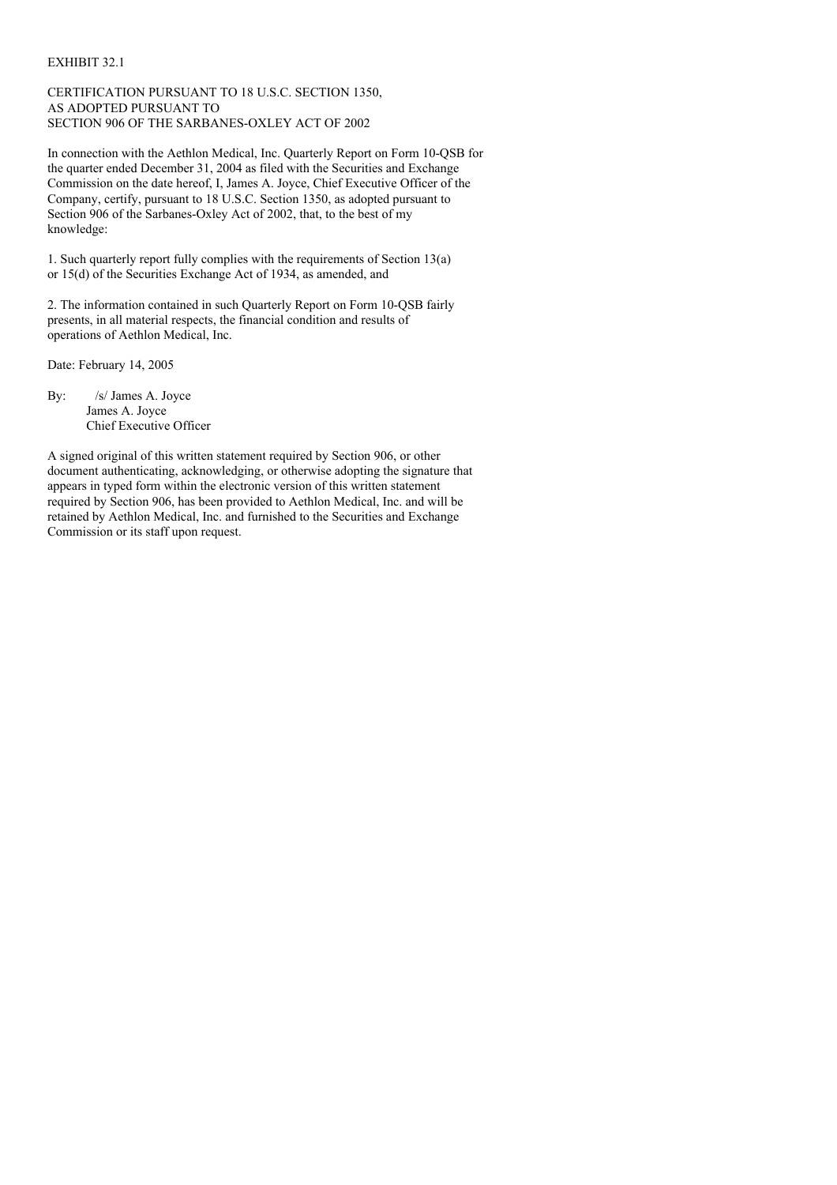## EXHIBIT 32.1

# CERTIFICATION PURSUANT TO 18 U.S.C. SECTION 1350, AS ADOPTED PURSUANT TO SECTION 906 OF THE SARBANES-OXLEY ACT OF 2002

In connection with the Aethlon Medical, Inc. Quarterly Report on Form 10-QSB for the quarter ended December 31, 2004 as filed with the Securities and Exchange Commission on the date hereof, I, James A. Joyce, Chief Executive Officer of the Company, certify, pursuant to 18 U.S.C. Section 1350, as adopted pursuant to Section 906 of the Sarbanes-Oxley Act of 2002, that, to the best of my knowledge:

1. Such quarterly report fully complies with the requirements of Section 13(a) or 15(d) of the Securities Exchange Act of 1934, as amended, and

2. The information contained in such Quarterly Report on Form 10-QSB fairly presents, in all material respects, the financial condition and results of operations of Aethlon Medical, Inc.

Date: February 14, 2005

By: /s/ James A. Joyce James A. Joyce Chief Executive Officer

A signed original of this written statement required by Section 906, or other document authenticating, acknowledging, or otherwise adopting the signature that appears in typed form within the electronic version of this written statement required by Section 906, has been provided to Aethlon Medical, Inc. and will be retained by Aethlon Medical, Inc. and furnished to the Securities and Exchange Commission or its staff upon request.